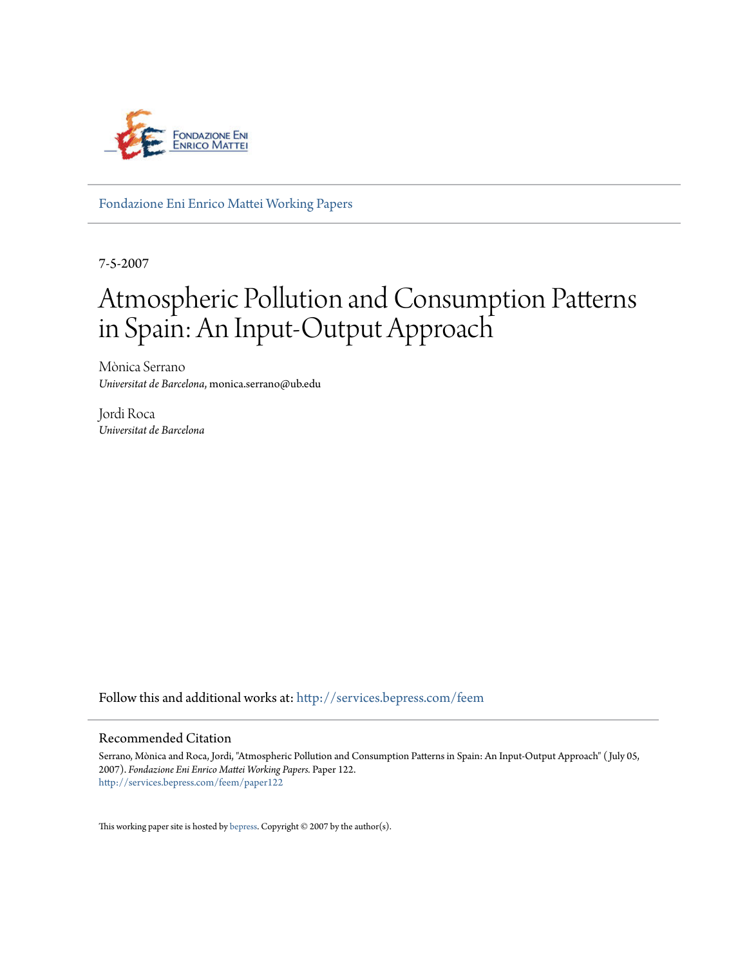

[Fondazione Eni Enrico Mattei Working Papers](http://services.bepress.com/feem?utm_source=services.bepress.com%2Ffeem%2Fpaper122&utm_medium=PDF&utm_campaign=PDFCoverPages)

7-5-2007

# Atmospheric Pollution and Consumption Patterns in Spain: An Input-Output Approach

Mònica Serrano *Universitat de Barcelona*, monica.serrano@ub.edu

Jordi Roca *Universitat de Barcelona*

Follow this and additional works at: [http://services.bepress.com/feem](http://services.bepress.com/feem?utm_source=services.bepress.com%2Ffeem%2Fpaper122&utm_medium=PDF&utm_campaign=PDFCoverPages)

#### Recommended Citation

Serrano, Mònica and Roca, Jordi, "Atmospheric Pollution and Consumption Patterns in Spain: An Input-Output Approach" ( July 05, 2007). *Fondazione Eni Enrico Mattei Working Papers.* Paper 122. [http://services.bepress.com/feem/paper122](http://services.bepress.com/feem/paper122?utm_source=services.bepress.com%2Ffeem%2Fpaper122&utm_medium=PDF&utm_campaign=PDFCoverPages)

This working paper site is hosted by [bepress.](www.bepress.com) Copyright  $© 2007$  by the author(s).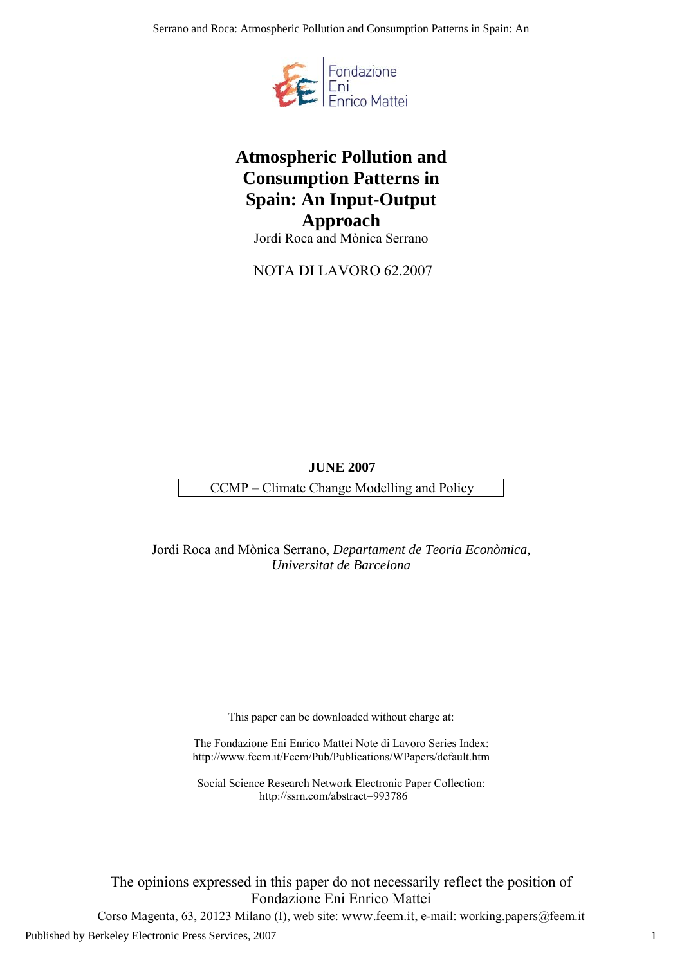Serrano and Roca: Atmospheric Pollution and Consumption Patterns in Spain: An



## **Atmospheric Pollution and Consumption Patterns in Spain: An Input-Output Approach**

Jordi Roca and Mònica Serrano

NOTA DI LAVORO 62.2007

## **JUNE 2007**

CCMP – Climate Change Modelling and Policy

Jordi Roca and Mònica Serrano, *Departament de Teoria Econòmica, Universitat de Barcelona*

This paper can be downloaded without charge at:

The Fondazione Eni Enrico Mattei Note di Lavoro Series Index: http://www.feem.it/Feem/Pub/Publications/WPapers/default.htm

Social Science Research Network Electronic Paper Collection: http://ssrn.com/abstract=993786

The opinions expressed in this paper do not necessarily reflect the position of Fondazione Eni Enrico Mattei

Corso Magenta, 63, 20123 Milano (I), web site: www.feem.it, e-mail: working.papers@feem.it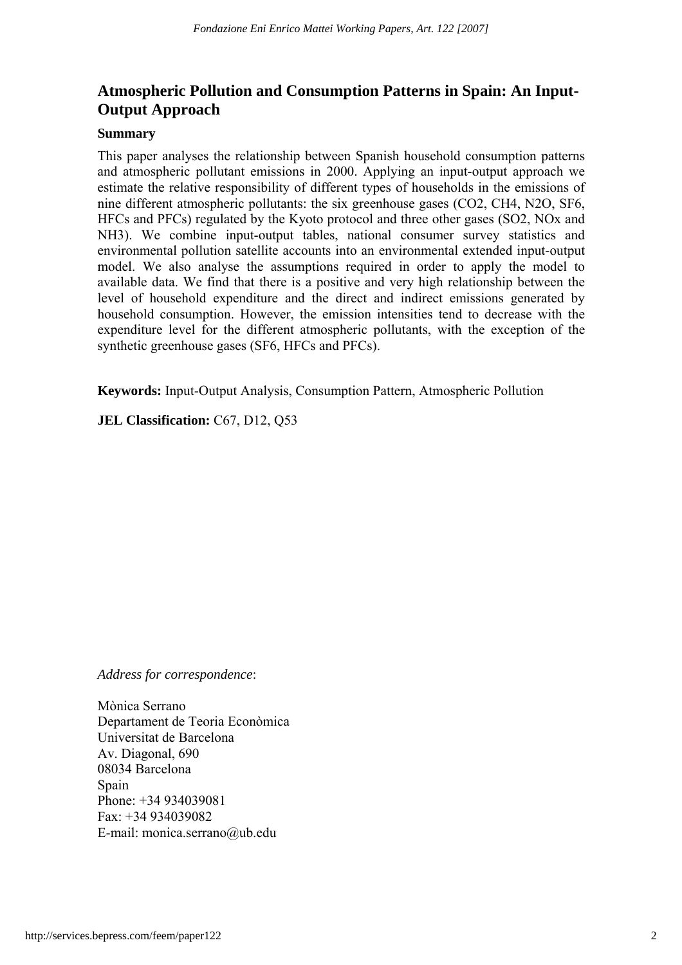## **Atmospheric Pollution and Consumption Patterns in Spain: An Input-Output Approach**

### **Summary**

This paper analyses the relationship between Spanish household consumption patterns and atmospheric pollutant emissions in 2000. Applying an input-output approach we estimate the relative responsibility of different types of households in the emissions of nine different atmospheric pollutants: the six greenhouse gases (CO2, CH4, N2O, SF6, HFCs and PFCs) regulated by the Kyoto protocol and three other gases (SO2, NOx and NH3). We combine input-output tables, national consumer survey statistics and environmental pollution satellite accounts into an environmental extended input-output model. We also analyse the assumptions required in order to apply the model to available data. We find that there is a positive and very high relationship between the level of household expenditure and the direct and indirect emissions generated by household consumption. However, the emission intensities tend to decrease with the expenditure level for the different atmospheric pollutants, with the exception of the synthetic greenhouse gases (SF6, HFCs and PFCs).

**Keywords:** Input-Output Analysis, Consumption Pattern, Atmospheric Pollution

**JEL Classification:** C67, D12, Q53

*Address for correspondence*:

Mònica Serrano Departament de Teoria Econòmica Universitat de Barcelona Av. Diagonal, 690 08034 Barcelona Spain Phone: +34 934039081 Fax: +34 934039082 E-mail: monica.serrano@ub.edu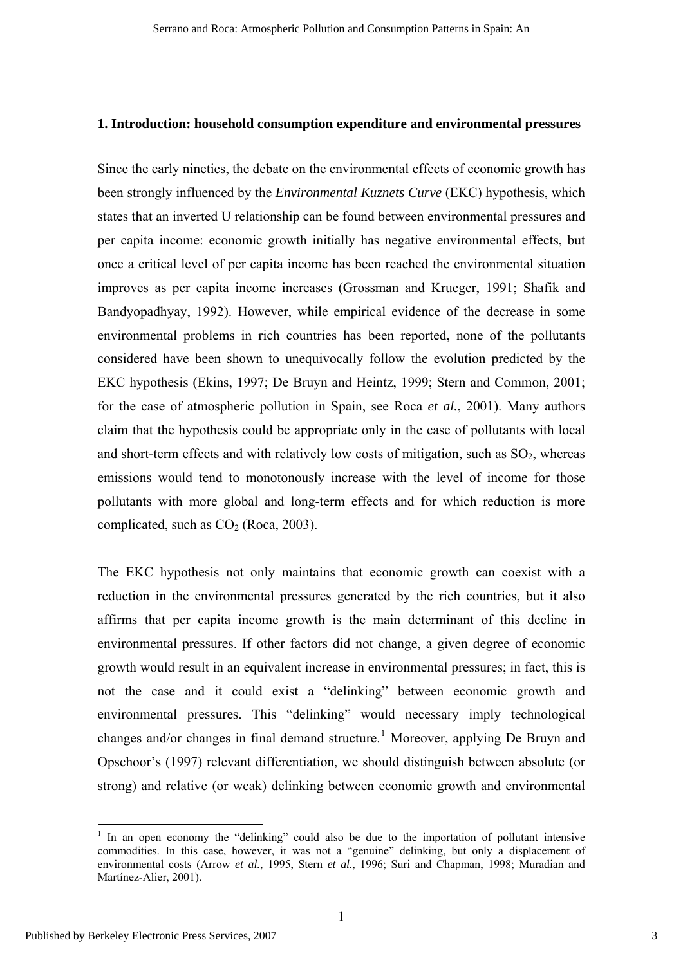#### **1. Introduction: household consumption expenditure and environmental pressures**

Since the early nineties, the debate on the environmental effects of economic growth has been strongly influenced by the *Environmental Kuznets Curve* (EKC) hypothesis, which states that an inverted U relationship can be found between environmental pressures and per capita income: economic growth initially has negative environmental effects, but once a critical level of per capita income has been reached the environmental situation improves as per capita income increases (Grossman and Krueger, 1991; Shafik and Bandyopadhyay, 1992). However, while empirical evidence of the decrease in some environmental problems in rich countries has been reported, none of the pollutants considered have been shown to unequivocally follow the evolution predicted by the EKC hypothesis (Ekins, 1997; De Bruyn and Heintz, 1999; Stern and Common, 2001; for the case of atmospheric pollution in Spain, see Roca *et al.*, 2001). Many authors claim that the hypothesis could be appropriate only in the case of pollutants with local and short-term effects and with relatively low costs of mitigation, such as  $SO<sub>2</sub>$ , whereas emissions would tend to monotonously increase with the level of income for those pollutants with more global and long-term effects and for which reduction is more complicated, such as  $CO<sub>2</sub>$  (Roca, 2003).

The EKC hypothesis not only maintains that economic growth can coexist with a reduction in the environmental pressures generated by the rich countries, but it also affirms that per capita income growth is the main determinant of this decline in environmental pressures. If other factors did not change, a given degree of economic growth would result in an equivalent increase in environmental pressures; in fact, this is not the case and it could exist a "delinking" between economic growth and environmental pressures. This "delinking" would necessary imply technological changes and/or changes in final demand structure.<sup>[1](#page-3-0)</sup> Moreover, applying De Bruyn and Opschoor's (1997) relevant differentiation, we should distinguish between absolute (or strong) and relative (or weak) delinking between economic growth and environmental

<span id="page-3-0"></span><sup>&</sup>lt;sup>1</sup> In an open economy the "delinking" could also be due to the importation of pollutant intensive commodities. In this case, however, it was not a "genuine" delinking, but only a displacement of environmental costs (Arrow *et al.*, 1995, Stern *et al.*, 1996; Suri and Chapman, 1998; Muradian and Martínez-Alier, 2001).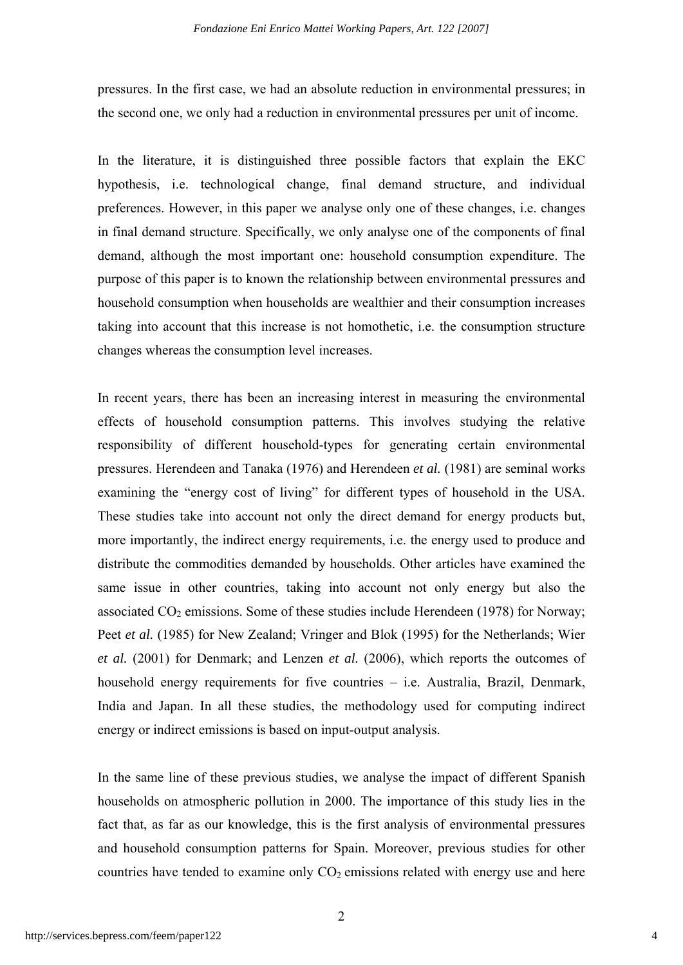pressures. In the first case, we had an absolute reduction in environmental pressures; in the second one, we only had a reduction in environmental pressures per unit of income.

In the literature, it is distinguished three possible factors that explain the EKC hypothesis, i.e. technological change, final demand structure, and individual preferences. However, in this paper we analyse only one of these changes, i.e. changes in final demand structure. Specifically, we only analyse one of the components of final demand, although the most important one: household consumption expenditure. The purpose of this paper is to known the relationship between environmental pressures and household consumption when households are wealthier and their consumption increases taking into account that this increase is not homothetic, i.e. the consumption structure changes whereas the consumption level increases.

In recent years, there has been an increasing interest in measuring the environmental effects of household consumption patterns. This involves studying the relative responsibility of different household-types for generating certain environmental pressures. Herendeen and Tanaka (1976) and Herendeen *et al.* (1981) are seminal works examining the "energy cost of living" for different types of household in the USA. These studies take into account not only the direct demand for energy products but, more importantly, the indirect energy requirements, i.e. the energy used to produce and distribute the commodities demanded by households. Other articles have examined the same issue in other countries, taking into account not only energy but also the associated  $CO<sub>2</sub>$  emissions. Some of these studies include Herendeen (1978) for Norway; Peet *et al.* (1985) for New Zealand; Vringer and Blok (1995) for the Netherlands; Wier *et al.* (2001) for Denmark; and Lenzen *et al.* (2006), which reports the outcomes of household energy requirements for five countries – i.e. Australia, Brazil, Denmark, India and Japan. In all these studies, the methodology used for computing indirect energy or indirect emissions is based on input-output analysis.

In the same line of these previous studies, we analyse the impact of different Spanish households on atmospheric pollution in 2000. The importance of this study lies in the fact that, as far as our knowledge, this is the first analysis of environmental pressures and household consumption patterns for Spain. Moreover, previous studies for other countries have tended to examine only  $CO<sub>2</sub>$  emissions related with energy use and here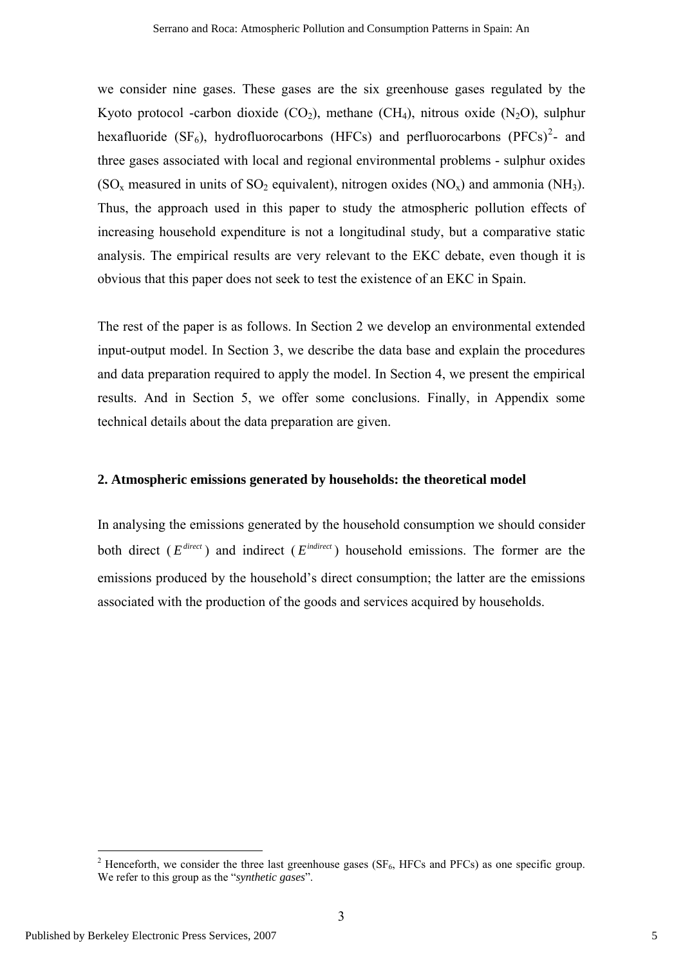we consider nine gases. These gases are the six greenhouse gases regulated by the Kyoto protocol -carbon dioxide  $(CO_2)$ , methane  $(CH_4)$ , nitrous oxide  $(N_2O)$ , sulphur hexafluoride (SF<sub>6</sub>), hydrofluorocarbons (HFCs) and perfluorocarbons (PFCs)<sup>[2](#page-5-0)</sup>- and three gases associated with local and regional environmental problems - sulphur oxides (SO<sub>x</sub> measured in units of SO<sub>2</sub> equivalent), nitrogen oxides (NO<sub>x</sub>) and ammonia (NH<sub>3</sub>). Thus, the approach used in this paper to study the atmospheric pollution effects of increasing household expenditure is not a longitudinal study, but a comparative static analysis. The empirical results are very relevant to the EKC debate, even though it is obvious that this paper does not seek to test the existence of an EKC in Spain.

The rest of the paper is as follows. In Section 2 we develop an environmental extended input-output model. In Section 3, we describe the data base and explain the procedures and data preparation required to apply the model. In Section 4, we present the empirical results. And in Section 5, we offer some conclusions. Finally, in Appendix some technical details about the data preparation are given.

#### **2. Atmospheric emissions generated by households: the theoretical model**

In analysing the emissions generated by the household consumption we should consider both direct ( $E^{direct}$ ) and indirect ( $E^{indirect}$ ) household emissions. The former are the emissions produced by the household's direct consumption; the latter are the emissions associated with the production of the goods and services acquired by households.

<span id="page-5-0"></span><sup>&</sup>lt;sup>2</sup> Henceforth, we consider the three last greenhouse gases (SF<sub>6</sub>, HFCs and PFCs) as one specific group. We refer to this group as the "*synthetic gases*".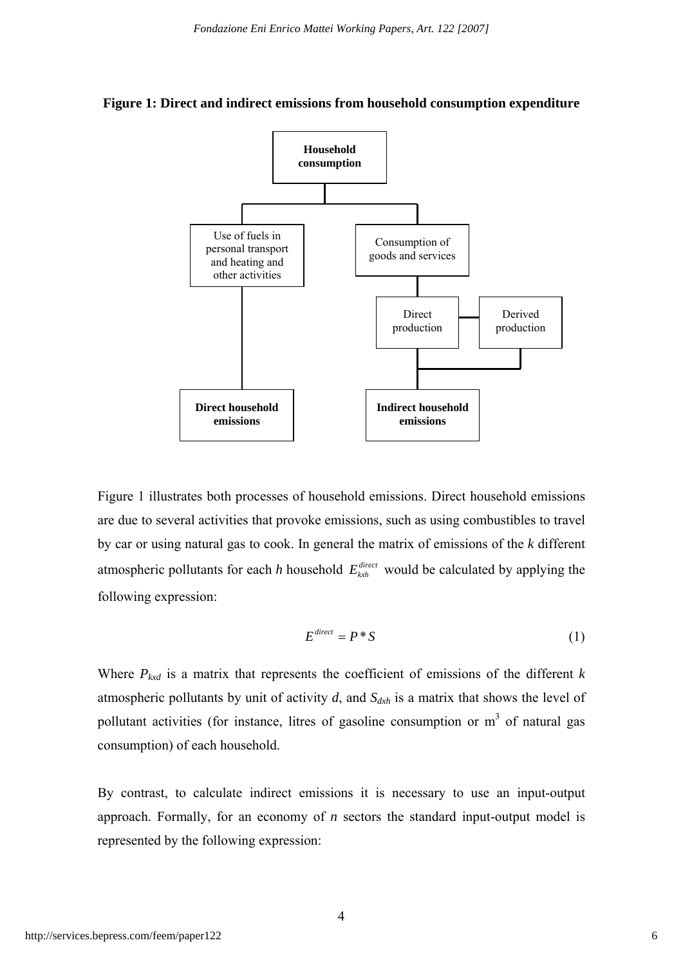#### **Figure 1: Direct and indirect emissions from household consumption expenditure**



Figure 1 illustrates both processes of household emissions. Direct household emissions are due to several activities that provoke emissions, such as using combustibles to travel by car or using natural gas to cook. In general the matrix of emissions of the *k* different atmospheric pollutants for each *h* household  $E_{kxh}^{direct}$  would be calculated by applying the following expression:

$$
E^{\text{direct}} = P^* S \tag{1}
$$

Where  $P_{kxd}$  is a matrix that represents the coefficient of emissions of the different  $k$ atmospheric pollutants by unit of activity  $d$ , and  $S_{dxh}$  is a matrix that shows the level of pollutant activities (for instance, litres of gasoline consumption or  $m<sup>3</sup>$  of natural gas consumption) of each household.

By contrast, to calculate indirect emissions it is necessary to use an input-output approach. Formally, for an economy of *n* sectors the standard input-output model is represented by the following expression: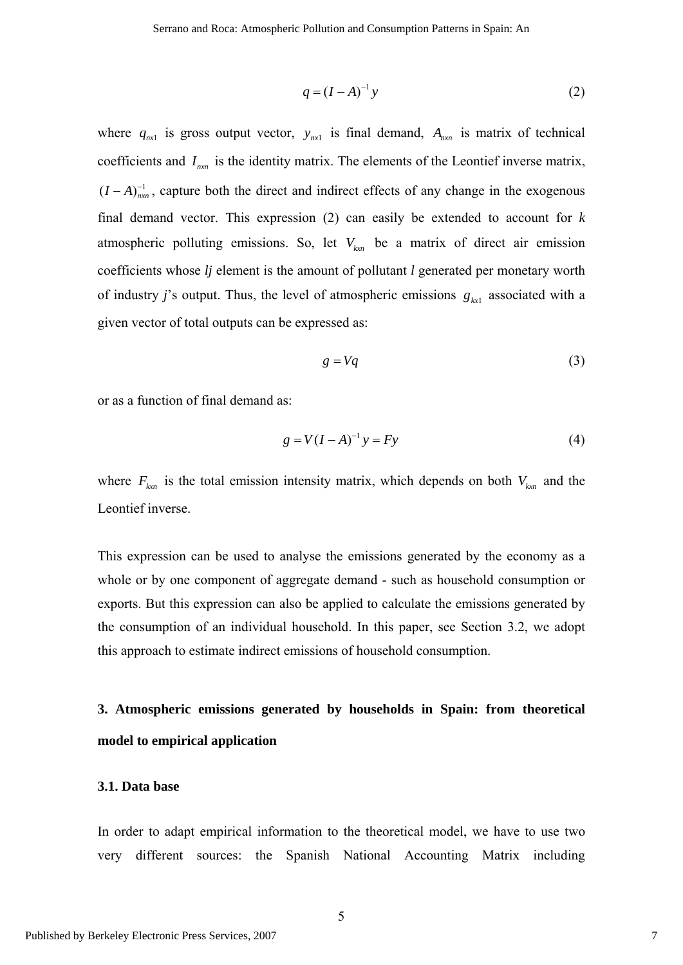$$
q = (I - A)^{-1} y \tag{2}
$$

where  $q_{n\text{r}1}$  is gross output vector,  $y_{n\text{r}1}$  is final demand,  $A_{n\text{r}2}$  is matrix of technical coefficients and  $I_{n,m}$  is the identity matrix. The elements of the Leontief inverse matrix,  $(I - A)_{nn}^{-1}$ , capture both the direct and indirect effects of any change in the exogenous final demand vector. This expression (2) can easily be extended to account for *k* atmospheric polluting emissions. So, let  $V_{kx}$  be a matrix of direct air emission coefficients whose *lj* element is the amount of pollutant *l* generated per monetary worth of industry *j*'s output. Thus, the level of atmospheric emissions  $g_{kx1}$  associated with a given vector of total outputs can be expressed as:

$$
g = Vq \tag{3}
$$

or as a function of final demand as:

$$
g = V(I - A)^{-1} y = Fy
$$
 (4)

where  $F_{kx}$  is the total emission intensity matrix, which depends on both  $V_{kx}$  and the Leontief inverse.

This expression can be used to analyse the emissions generated by the economy as a whole or by one component of aggregate demand - such as household consumption or exports. But this expression can also be applied to calculate the emissions generated by the consumption of an individual household. In this paper, see Section 3.2, we adopt this approach to estimate indirect emissions of household consumption.

## **3. Atmospheric emissions generated by households in Spain: from theoretical model to empirical application**

#### **3.1. Data base**

In order to adapt empirical information to the theoretical model, we have to use two very different sources: the Spanish National Accounting Matrix including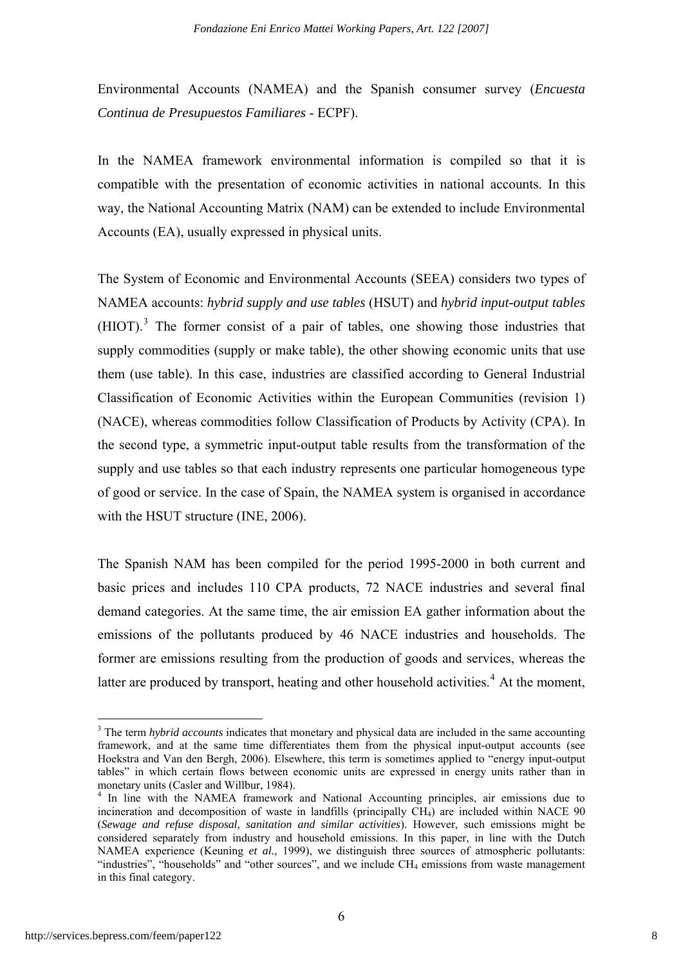<span id="page-8-0"></span>Environmental Accounts (NAMEA) and the Spanish consumer survey (*Encuesta Continua de Presupuestos Familiares* - ECPF).

In the NAMEA framework environmental information is compiled so that it is compatible with the presentation of economic activities in national accounts. In this way, the National Accounting Matrix (NAM) can be extended to include Environmental Accounts (EA), usually expressed in physical units.

The System of Economic and Environmental Accounts (SEEA) considers two types of NAMEA accounts: *hybrid supply and use tables* (HSUT) and *hybrid input-output tables*   $(HIOT)<sup>3</sup>$  $(HIOT)<sup>3</sup>$  $(HIOT)<sup>3</sup>$  The former consist of a pair of tables, one showing those industries that supply commodities (supply or make table), the other showing economic units that use them (use table). In this case, industries are classified according to General Industrial Classification of Economic Activities within the European Communities (revision 1) (NACE), whereas commodities follow Classification of Products by Activity (CPA). In the second type, a symmetric input-output table results from the transformation of the supply and use tables so that each industry represents one particular homogeneous type of good or service. In the case of Spain, the NAMEA system is organised in accordance with the HSUT structure (INE, 2006).

The Spanish NAM has been compiled for the period 1995-2000 in both current and basic prices and includes 110 CPA products, 72 NACE industries and several final demand categories. At the same time, the air emission EA gather information about the emissions of the pollutants produced by 46 NACE industries and households. The former are emissions resulting from the production of goods and services, whereas the latter are produced by transport, heating and other household activities.<sup>[4](#page-8-0)</sup> At the moment,

<sup>&</sup>lt;sup>3</sup> The term *hybrid accounts* indicates that monetary and physical data are included in the same accounting framework, and at the same time differentiates them from the physical input-output accounts (see Hoekstra and Van den Bergh, 2006). Elsewhere, this term is sometimes applied to "energy input-output tables" in which certain flows between economic units are expressed in energy units rather than in monetary units (Casler and Willbur, 1984).

<sup>&</sup>lt;sup>4</sup> In line with the NAMEA framework and National Accounting principles, air emissions due to incineration and decomposition of waste in landfills (principally  $CH<sub>4</sub>$ ) are included within NACE 90 (*Sewage and refuse disposal, sanitation and similar activities*). However, such emissions might be considered separately from industry and household emissions. In this paper, in line with the Dutch NAMEA experience (Keuning *et al.*, 1999), we distinguish three sources of atmospheric pollutants: "industries", "households" and "other sources", and we include CH<sub>4</sub> emissions from waste management in this final category.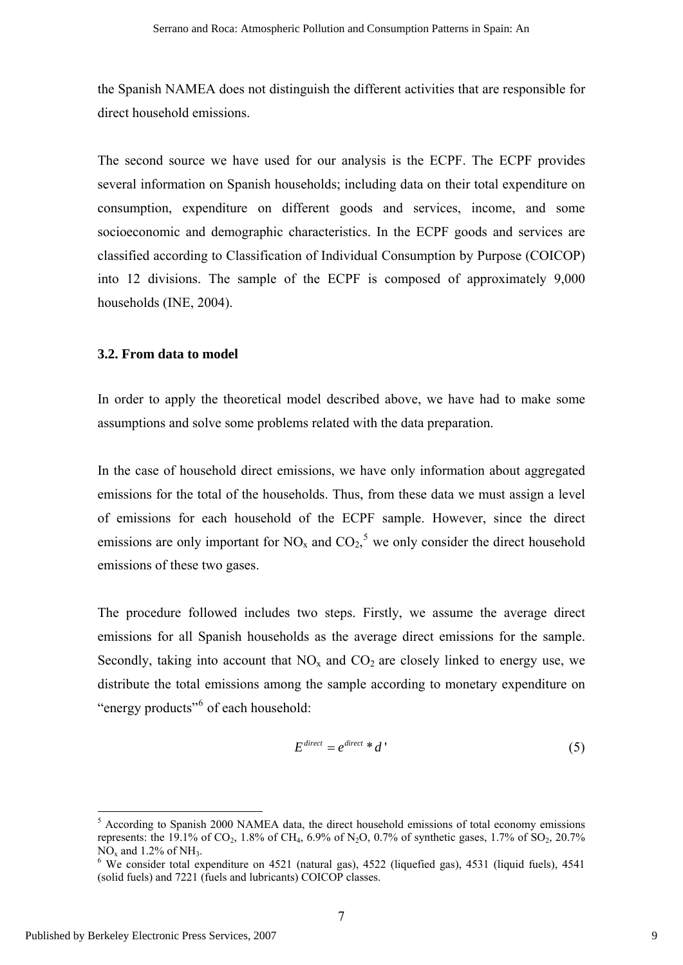<span id="page-9-0"></span>the Spanish NAMEA does not distinguish the different activities that are responsible for direct household emissions.

The second source we have used for our analysis is the ECPF. The ECPF provides several information on Spanish households; including data on their total expenditure on consumption, expenditure on different goods and services, income, and some socioeconomic and demographic characteristics. In the ECPF goods and services are classified according to Classification of Individual Consumption by Purpose (COICOP) into 12 divisions. The sample of the ECPF is composed of approximately 9,000 households (INE, 2004).

#### **3.2. From data to model**

In order to apply the theoretical model described above, we have had to make some assumptions and solve some problems related with the data preparation.

In the case of household direct emissions, we have only information about aggregated emissions for the total of the households. Thus, from these data we must assign a level of emissions for each household of the ECPF sample. However, since the direct emissions are only important for  $NO_x$  and  $CO_2$ ,<sup>[5](#page-9-0)</sup> we only consider the direct household emissions of these two gases.

The procedure followed includes two steps. Firstly, we assume the average direct emissions for all Spanish households as the average direct emissions for the sample. Secondly, taking into account that  $NO<sub>x</sub>$  and  $CO<sub>2</sub>$  are closely linked to energy use, we distribute the total emissions among the sample according to monetary expenditure on "energy products"<sup>[6](#page-9-0)</sup> of each household:

$$
E^{\text{direct}} = e^{\text{direct}} * d' \tag{5}
$$

<sup>&</sup>lt;sup>5</sup> According to Spanish 2000 NAMEA data, the direct household emissions of total economy emissions represents: the 19.1% of CO<sub>2</sub>, 1.8% of CH<sub>4</sub>, 6.9% of N<sub>2</sub>O, 0.7% of synthetic gases, 1.7% of SO<sub>2</sub>, 20.7%  $\overline{NO_x}$  and 1.2% of NH<sub>3</sub>.

 $6\text{ We consider total expenditure on } 4521 \text{ (natural gas)}$ ,  $4522 \text{ (liquid gas)}$ ,  $4531 \text{ (liquid fuels)}$ ,  $4541$ (solid fuels) and 7221 (fuels and lubricants) COICOP classes.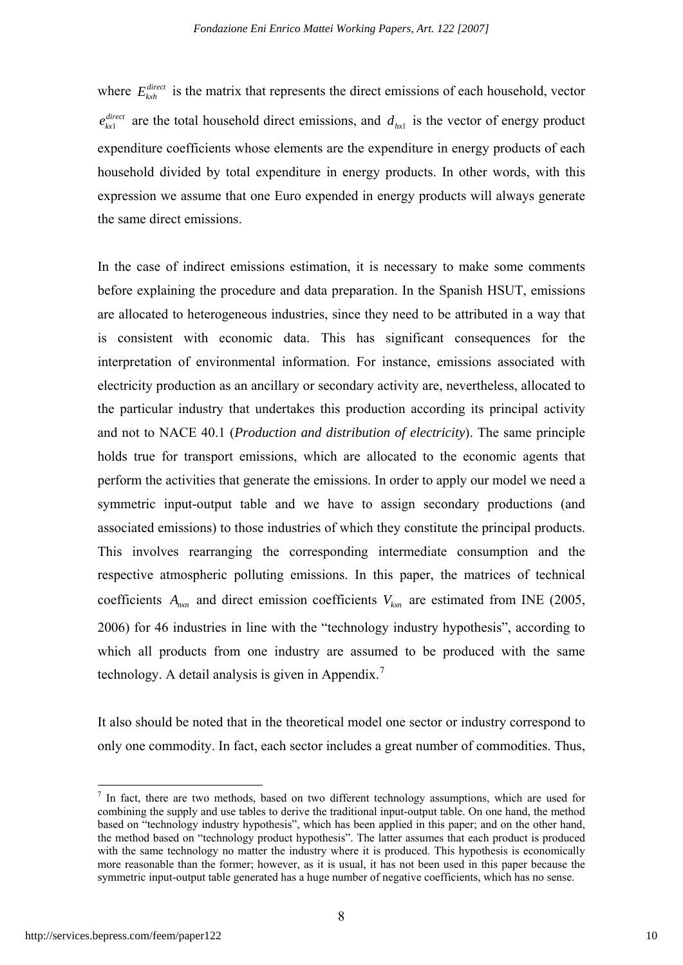<span id="page-10-0"></span>where  $E_{kxh}^{direct}$  is the matrix that represents the direct emissions of each household, vector  $a_{n}^{rect}$  are the total household direct emissions, and  $d_{nx1}$  is the vector of energy product expenditure coefficients whose elements are the expenditure in energy products of each household divided by total expenditure in energy products. In other words, with this expression we assume that one Euro expended in energy products will always generate the same direct emissions.  $e_{kx1}^{direct}$  are the total household direct emissions, and  $d_{hx1}$ 

In the case of indirect emissions estimation, it is necessary to make some comments before explaining the procedure and data preparation. In the Spanish HSUT, emissions are allocated to heterogeneous industries, since they need to be attributed in a way that is consistent with economic data. This has significant consequences for the interpretation of environmental information. For instance, emissions associated with electricity production as an ancillary or secondary activity are, nevertheless, allocated to the particular industry that undertakes this production according its principal activity and not to NACE 40.1 (*Production and distribution of electricity*). The same principle holds true for transport emissions, which are allocated to the economic agents that perform the activities that generate the emissions. In order to apply our model we need a symmetric input-output table and we have to assign secondary productions (and associated emissions) to those industries of which they constitute the principal products. This involves rearranging the corresponding intermediate consumption and the respective atmospheric polluting emissions. In this paper, the matrices of technical coefficients  $A_{n x n}$  and direct emission coefficients  $V_{k x n}$  are estimated from INE (2005, 2006) for 46 industries in line with the "technology industry hypothesis", according to which all products from one industry are assumed to be produced with the same technology. A detail analysis is given in Appendix.<sup>[7](#page-10-0)</sup>

It also should be noted that in the theoretical model one sector or industry correspond to only one commodity. In fact, each sector includes a great number of commodities. Thus,

 $<sup>7</sup>$  In fact, there are two methods, based on two different technology assumptions, which are used for</sup> combining the supply and use tables to derive the traditional input-output table. On one hand, the method based on "technology industry hypothesis", which has been applied in this paper; and on the other hand, the method based on "technology product hypothesis". The latter assumes that each product is produced with the same technology no matter the industry where it is produced. This hypothesis is economically more reasonable than the former; however, as it is usual, it has not been used in this paper because the symmetric input-output table generated has a huge number of negative coefficients, which has no sense.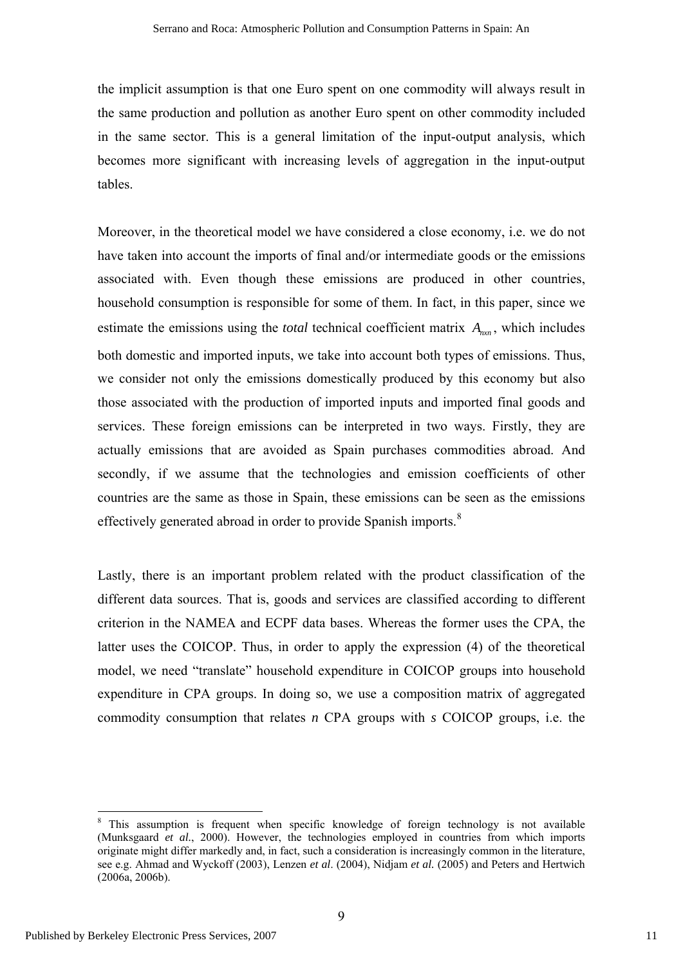<span id="page-11-0"></span>the implicit assumption is that one Euro spent on one commodity will always result in the same production and pollution as another Euro spent on other commodity included in the same sector. This is a general limitation of the input-output analysis, which becomes more significant with increasing levels of aggregation in the input-output tables.

Moreover, in the theoretical model we have considered a close economy, i.e. we do not have taken into account the imports of final and/or intermediate goods or the emissions associated with. Even though these emissions are produced in other countries, household consumption is responsible for some of them. In fact, in this paper, since we estimate the emissions using the *total* technical coefficient matrix  $A_{n x n}$ , which includes both domestic and imported inputs, we take into account both types of emissions. Thus, we consider not only the emissions domestically produced by this economy but also those associated with the production of imported inputs and imported final goods and services. These foreign emissions can be interpreted in two ways. Firstly, they are actually emissions that are avoided as Spain purchases commodities abroad. And secondly, if we assume that the technologies and emission coefficients of other countries are the same as those in Spain, these emissions can be seen as the emissions effectively generated abroad in order to provide Spanish imports.<sup>[8](#page-11-0)</sup>

Lastly, there is an important problem related with the product classification of the different data sources. That is, goods and services are classified according to different criterion in the NAMEA and ECPF data bases. Whereas the former uses the CPA, the latter uses the COICOP. Thus, in order to apply the expression (4) of the theoretical model, we need "translate" household expenditure in COICOP groups into household expenditure in CPA groups. In doing so, we use a composition matrix of aggregated commodity consumption that relates *n* CPA groups with *s* COICOP groups, i.e. the

<sup>8</sup> This assumption is frequent when specific knowledge of foreign technology is not available (Munksgaard *et al.*, 2000). However, the technologies employed in countries from which imports originate might differ markedly and, in fact, such a consideration is increasingly common in the literature, see e.g. Ahmad and Wyckoff (2003), Lenzen *et al*. (2004), Nidjam *et al.* (2005) and Peters and Hertwich (2006a, 2006b).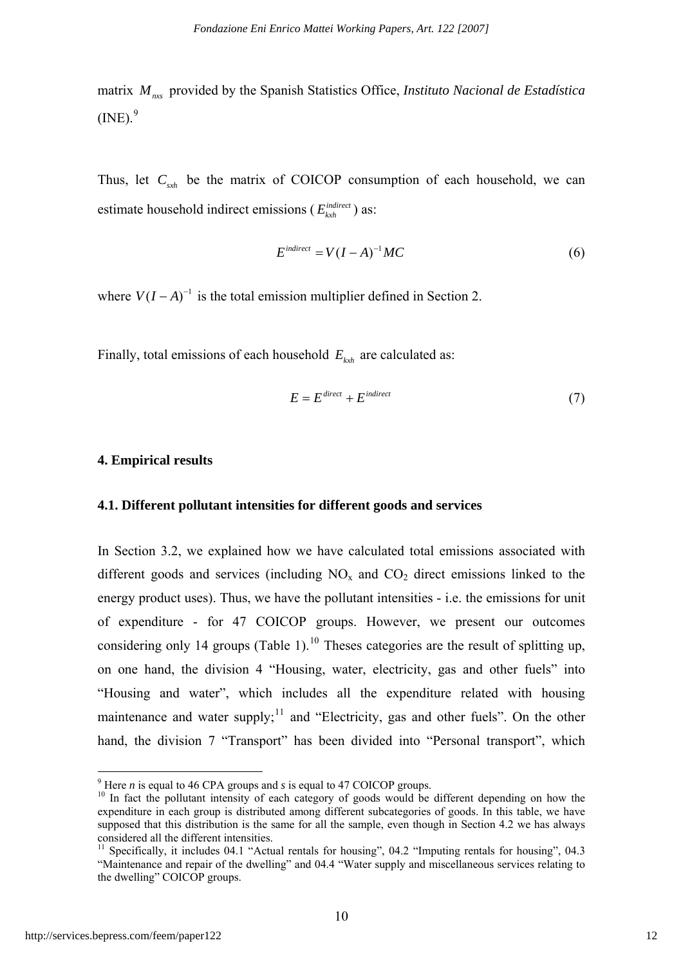<span id="page-12-0"></span>matrix  $M_{nxs}$  provided by the Spanish Statistics Office, *Instituto Nacional de Estadística*  $(INE).<sup>9</sup>$  $(INE).<sup>9</sup>$  $(INE).<sup>9</sup>$ 

Thus, let  $C_{\rm syn}$  be the matrix of COICOP consumption of each household, we can estimate household indirect emissions ( $E_{\text{trb}}^{\text{indirect}}$ ) as:

$$
Eindirect = V(I - A)-1MC
$$
\n(6)

where  $V(I - A)^{-1}$  is the total emission multiplier defined in Section 2.

Finally, total emissions of each household  $E_{kxh}$  are calculated as:

$$
E = E^{\text{direct}} + E^{\text{indirect}} \tag{7}
$$

#### **4. Empirical results**

#### **4.1. Different pollutant intensities for different goods and services**

In Section 3.2, we explained how we have calculated total emissions associated with different goods and services (including  $NO<sub>x</sub>$  and  $CO<sub>2</sub>$  direct emissions linked to the energy product uses). Thus, we have the pollutant intensities - i.e. the emissions for unit of expenditure - for 47 COICOP groups. However, we present our outcomes considering only 14 groups (Table 1).<sup>[10](#page-12-0)</sup> Theses categories are the result of splitting up, on one hand, the division 4 "Housing, water, electricity, gas and other fuels" into "Housing and water", which includes all the expenditure related with housing maintenance and water supply;<sup>[11](#page-12-0)</sup> and "Electricity, gas and other fuels". On the other hand, the division 7 "Transport" has been divided into "Personal transport", which

<sup>&</sup>lt;sup>9</sup> Here *n* is equal to 46 CPA groups and *s* is equal to 47 COICOP groups.

<sup>&</sup>lt;sup>10</sup> In fact the pollutant intensity of each category of goods would be different depending on how the expenditure in each group is distributed among different subcategories of goods. In this table, we have supposed that this distribution is the same for all the sample, even though in Section 4.2 we has always considered all the different intensities.

<sup>&</sup>lt;sup>11</sup> Specifically, it includes 04.1 "Actual rentals for housing", 04.2 "Imputing rentals for housing", 04.3 "Maintenance and repair of the dwelling" and 04.4 "Water supply and miscellaneous services relating to the dwelling" COICOP groups.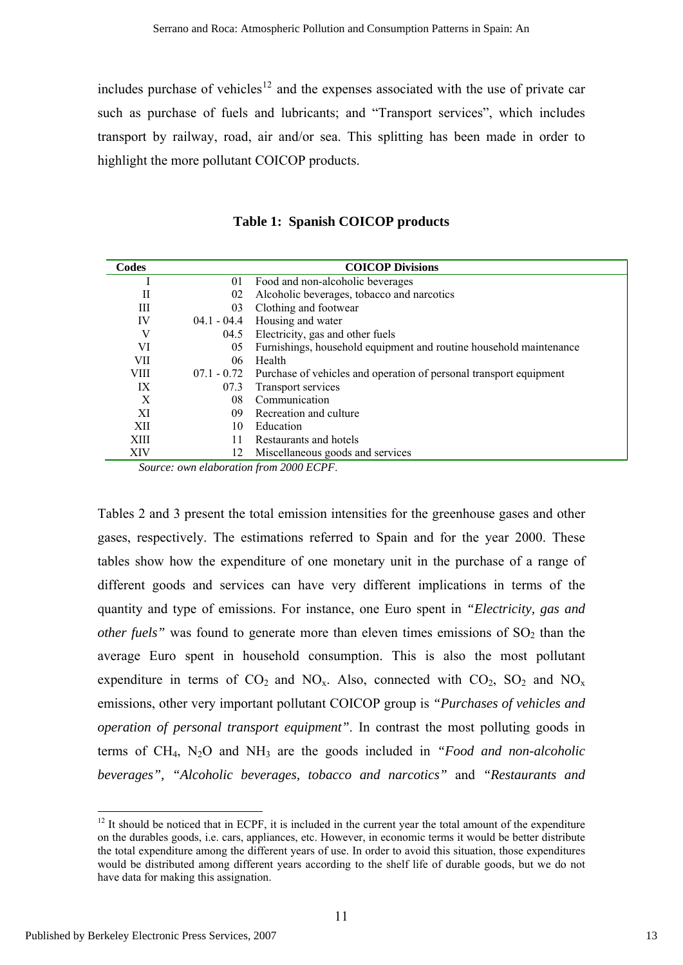<span id="page-13-0"></span>includes purchase of vehicles<sup>[12](#page-13-0)</sup> and the expenses associated with the use of private car such as purchase of fuels and lubricants; and "Transport services", which includes transport by railway, road, air and/or sea. This splitting has been made in order to highlight the more pollutant COICOP products.

| Codes  |                           | <b>COICOP Divisions</b>                                            |
|--------|---------------------------|--------------------------------------------------------------------|
|        | 01                        | Food and non-alcoholic beverages                                   |
| П      | 02                        | Alcoholic beverages, tobacco and narcotics                         |
| Ш      | 03                        | Clothing and footwear                                              |
| IV     | $04.1 - 04.4$             | Housing and water                                                  |
| V      | 04.5                      | Electricity, gas and other fuels                                   |
| VI     | 05                        | Furnishings, household equipment and routine household maintenance |
| VII    | 06                        | Health                                                             |
| VIII   | $07.1 - 0.72$             | Purchase of vehicles and operation of personal transport equipment |
| IX     | 07.3                      | Transport services                                                 |
| X      | 08                        | Communication                                                      |
| XI     | 09                        | Recreation and culture                                             |
| XII    | 10                        | Education                                                          |
| XIII   | 11                        | Restaurants and hotels                                             |
| XIV    | 12                        | Miscellaneous goods and services                                   |
| $\sim$ | $\mathbf{1}$<br>$\cdot$ . | $2000$ $FCDF$<br>$\mathcal{L}$                                     |

**Table 1: Spanish COICOP products** 

*Source: own elaboration from 2000 ECPF*.

Tables 2 and 3 present the total emission intensities for the greenhouse gases and other gases, respectively. The estimations referred to Spain and for the year 2000. These tables show how the expenditure of one monetary unit in the purchase of a range of different goods and services can have very different implications in terms of the quantity and type of emissions. For instance, one Euro spent in *"Electricity, gas and other fuels*" was found to generate more than eleven times emissions of  $SO<sub>2</sub>$  than the average Euro spent in household consumption. This is also the most pollutant expenditure in terms of  $CO_2$  and  $NO_x$ . Also, connected with  $CO_2$ ,  $SO_2$  and  $NO_x$ emissions, other very important pollutant COICOP group is *"Purchases of vehicles and operation of personal transport equipment"*. In contrast the most polluting goods in terms of CH4, N2O and NH3 are the goods included in *"Food and non-alcoholic beverages", "Alcoholic beverages, tobacco and narcotics"* and *"Restaurants and* 

 $12$  It should be noticed that in ECPF, it is included in the current year the total amount of the expenditure on the durables goods, i.e. cars, appliances, etc. However, in economic terms it would be better distribute the total expenditure among the different years of use. In order to avoid this situation, those expenditures would be distributed among different years according to the shelf life of durable goods, but we do not have data for making this assignation.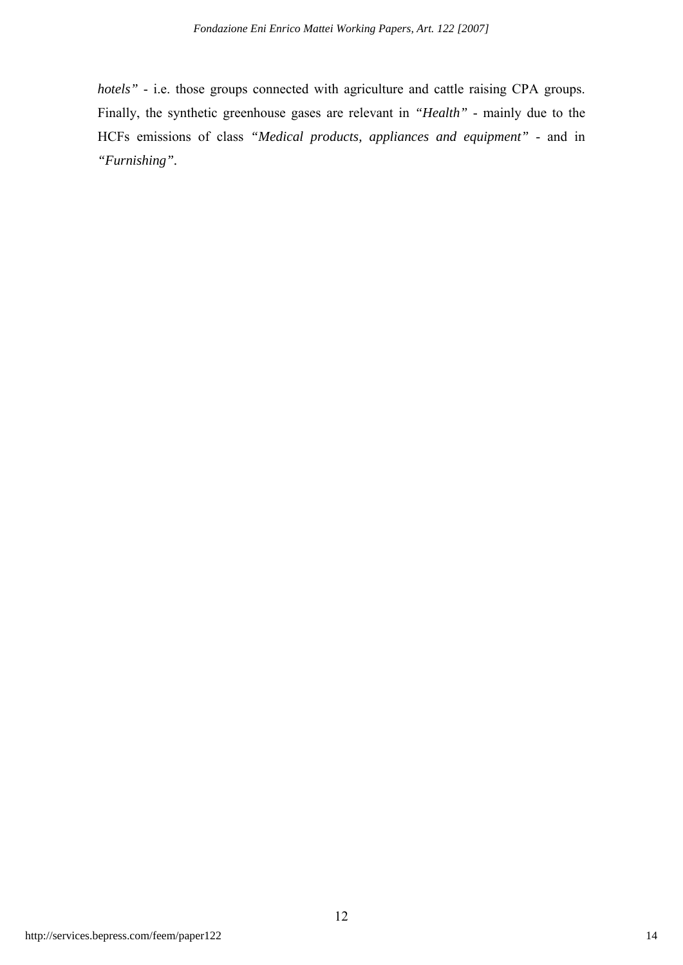*hotels*" - i.e. those groups connected with agriculture and cattle raising CPA groups. Finally, the synthetic greenhouse gases are relevant in *"Health"* - mainly due to the HCFs emissions of class *"Medical products, appliances and equipment"* - and in *"Furnishing".*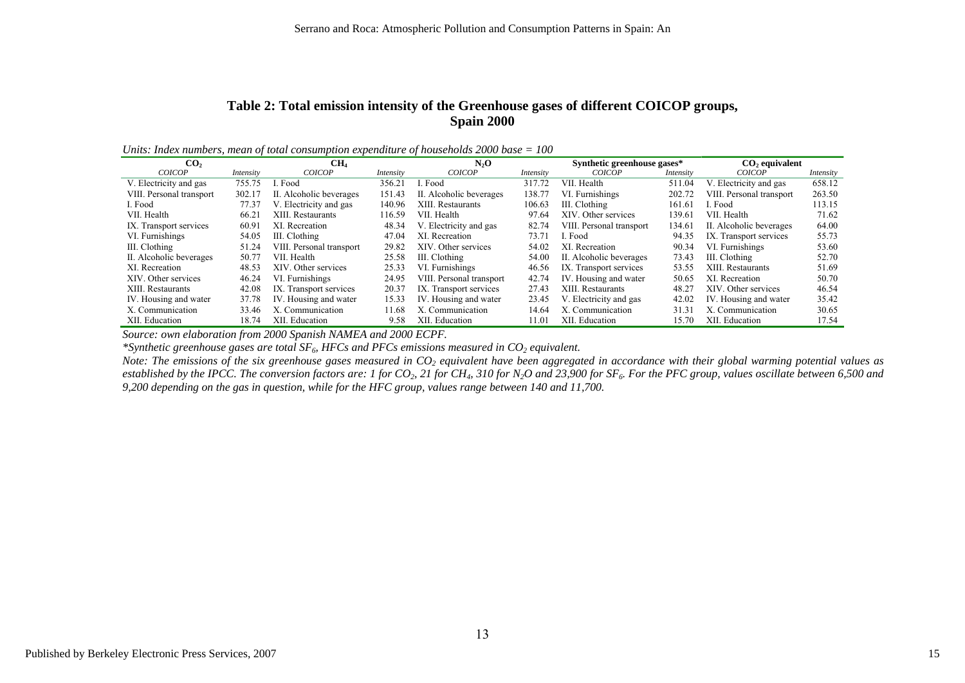### **Table 2: Total emission intensity of the Greenhouse gases of different COICOP groups, Spain 2000**

| $\mathbf{CO}_{2}$        |           | CH <sub>4</sub>          |           | N <sub>2</sub> O         |           |                          | Synthetic greenhouse gases* | $CO2$ equivalent         |           |
|--------------------------|-----------|--------------------------|-----------|--------------------------|-----------|--------------------------|-----------------------------|--------------------------|-----------|
| <i>COICOP</i>            | Intensity | <b>COICOP</b>            | Intensity | <b>COICOP</b>            | Intensity | <b>COICOP</b>            | Intensity                   | <b>COICOP</b>            | Intensity |
| V. Electricity and gas   | 755.75    | L Food                   | 356.21    | L Food-                  | 317.72    | VII. Health              | 511.04                      | V. Electricity and gas   | 658.12    |
| VIII. Personal transport | 302.17    | II. Alcoholic beverages  | 151.43    | II. Alcoholic beverages  | 138.77    | VI. Furnishings          | 202.72                      | VIII. Personal transport | 263.50    |
| I. Food                  | 77.37     | V. Electricity and gas   | 140.96    | XIII. Restaurants        | 106.63    | III. Clothing            | 161.61                      | I. Food                  | 113.15    |
| VII. Health              | 66.21     | XIII. Restaurants        | 116.59    | VII. Health              | 97.64     | XIV. Other services      | 139.61                      | VII. Health              | 71.62     |
| IX. Transport services   | 60.91     | XI. Recreation           | 48.34     | V. Electricity and gas   | 82.74     | VIII. Personal transport | 134.61                      | II. Alcoholic beverages  | 64.00     |
| VI. Furnishings          | 54.05     | III. Clothing            | 47.04     | XI. Recreation           | 73.71     | I. Food                  | 94.35                       | IX. Transport services   | 55.73     |
| III. Clothing            | 51.24     | VIII. Personal transport | 29.82     | XIV. Other services      | 54.02     | XI. Recreation           | 90.34                       | VI. Furnishings          | 53.60     |
| II. Alcoholic beverages  | 50.77     | VII. Health              | 25.58     | III. Clothing            | 54.00     | II. Alcoholic beverages  | 73.43                       | III. Clothing            | 52.70     |
| XI. Recreation           | 48.53     | XIV. Other services      | 25.33     | VI. Furnishings          | 46.56     | IX. Transport services   | 53.55                       | XIII. Restaurants        | 51.69     |
| XIV. Other services      | 46.24     | VI. Furnishings          | 24.95     | VIII. Personal transport | 42.74     | IV. Housing and water    | 50.65                       | XI. Recreation           | 50.70     |
| XIII. Restaurants        | 42.08     | IX. Transport services   | 20.37     | IX. Transport services   | 27.43     | XIII. Restaurants        | 48.27                       | XIV. Other services      | 46.54     |
| IV. Housing and water    | 37.78     | IV. Housing and water    | 15.33     | IV. Housing and water    | 23.45     | V. Electricity and gas   | 42.02                       | IV. Housing and water    | 35.42     |
| X. Communication         | 33.46     | X. Communication         | 11.68     | X. Communication         | 14.64     | X. Communication         | 31.31                       | X. Communication         | 30.65     |
| XII. Education           | 18.74     | XII. Education           | 9.58      | XII. Education           | 11.01     | XII. Education           | 15.70                       | XII. Education           | 17.54     |

*Units: Index numbers, mean of total consumption expenditure of households 2000 base = 100* 

*Source: own elaboration from 2000 Spanish NAMEA and 2000 ECPF.* 

*\*Synthetic greenhouse gases are total SF6, HFCs and PFCs emissions measured in CO2 equivalent.* 

*Note: The emissions of the six greenhouse gases measured in CO<sub>2</sub> equivalent have been aggregated in accordance with their global warming potential values as* established by the IPCC. The conversion factors are: 1 for CO<sub>2</sub>, 21 for CH<sub>4</sub>, 310 for N<sub>2</sub>O and 23,900 for SF<sub>6</sub>. For the PFC group, values oscillate between 6,500 and *9,200 depending on the gas in question, while for the HFC group, values range between 140 and 11,700.*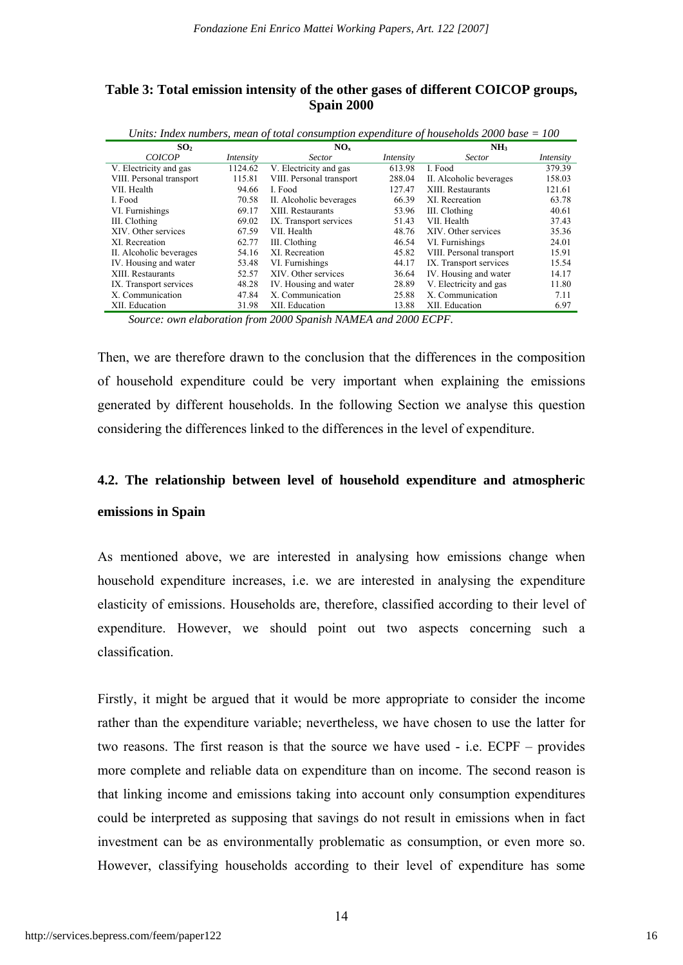| Table 3: Total emission intensity of the other gases of different COICOP groups, |  |
|----------------------------------------------------------------------------------|--|
| Spain 2000                                                                       |  |

|                          |           | Units: Index numbers, mean of total consumption expenditure of households $2000$ base = 100 |           |                          |           |
|--------------------------|-----------|---------------------------------------------------------------------------------------------|-----------|--------------------------|-----------|
| SO <sub>2</sub>          |           | $NO_{x}$                                                                                    |           | NH <sub>3</sub>          |           |
| <b>COICOP</b>            | Intensity | Sector                                                                                      | Intensity | <b>Sector</b>            | Intensity |
| V. Electricity and gas   | 1124.62   | V. Electricity and gas                                                                      | 613.98    | L Food                   | 379.39    |
| VIII. Personal transport | 115.81    | VIII. Personal transport                                                                    | 288.04    | II. Alcoholic beverages  | 158.03    |
| VII. Health              | 94.66     | L Food                                                                                      | 127.47    | XIII. Restaurants        | 121.61    |
| I. Food                  | 70.58     | II. Alcoholic beverages                                                                     | 66.39     | XI. Recreation           | 63.78     |
| VI. Furnishings          | 69.17     | XIII. Restaurants                                                                           | 53.96     | III. Clothing            | 40.61     |
| III. Clothing            | 69.02     | IX. Transport services                                                                      | 51.43     | VII. Health              | 37.43     |
| XIV. Other services      | 67.59     | VII. Health                                                                                 | 48.76     | XIV. Other services      | 35.36     |
| XI. Recreation           | 62.77     | III. Clothing                                                                               | 46.54     | VI. Furnishings          | 24.01     |
| II. Alcoholic beverages  | 54.16     | XI. Recreation                                                                              | 45.82     | VIII. Personal transport | 15.91     |
| IV. Housing and water    | 53.48     | VI. Furnishings                                                                             | 44.17     | IX. Transport services   | 15.54     |
| XIII. Restaurants        | 52.57     | XIV. Other services                                                                         | 36.64     | IV. Housing and water    | 14.17     |
| IX. Transport services   | 48.28     | IV. Housing and water                                                                       | 28.89     | V. Electricity and gas   | 11.80     |
| X. Communication         | 47.84     | X. Communication                                                                            | 25.88     | X. Communication         | 7.11      |
| XII. Education           | 31.98     | XII. Education                                                                              | 13.88     | XII. Education           | 6.97      |

*Source: own elaboration from 2000 Spanish NAMEA and 2000 ECPF.* 

Then, we are therefore drawn to the conclusion that the differences in the composition of household expenditure could be very important when explaining the emissions generated by different households. In the following Section we analyse this question considering the differences linked to the differences in the level of expenditure.

## **4.2. The relationship between level of household expenditure and atmospheric emissions in Spain**

As mentioned above, we are interested in analysing how emissions change when household expenditure increases, i.e. we are interested in analysing the expenditure elasticity of emissions. Households are, therefore, classified according to their level of expenditure. However, we should point out two aspects concerning such a classification.

Firstly, it might be argued that it would be more appropriate to consider the income rather than the expenditure variable; nevertheless, we have chosen to use the latter for two reasons. The first reason is that the source we have used - i.e. ECPF – provides more complete and reliable data on expenditure than on income. The second reason is that linking income and emissions taking into account only consumption expenditures could be interpreted as supposing that savings do not result in emissions when in fact investment can be as environmentally problematic as consumption, or even more so. However, classifying households according to their level of expenditure has some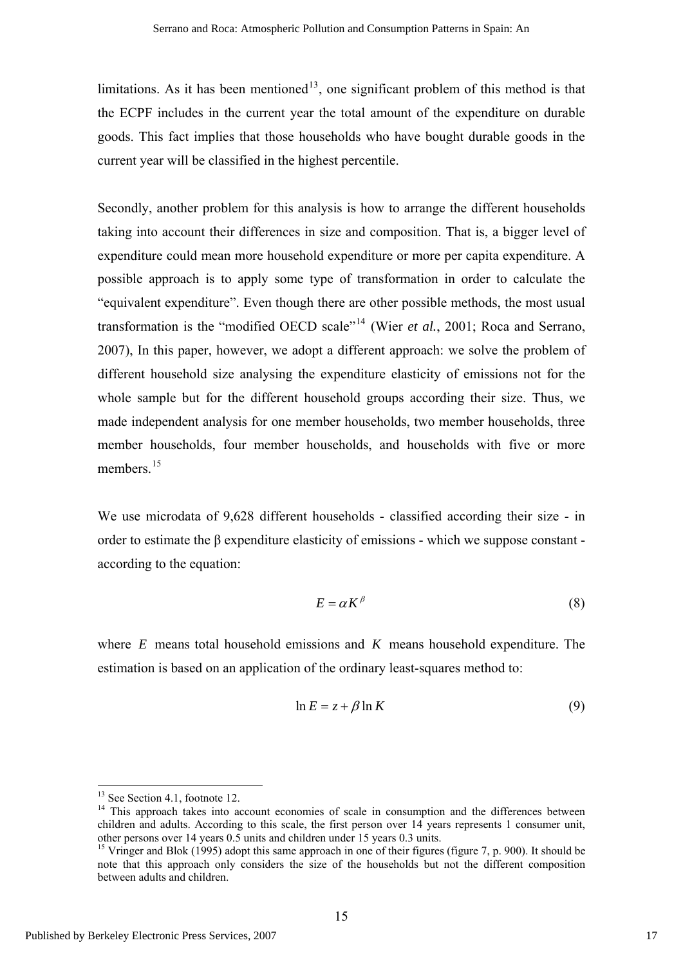<span id="page-17-0"></span>limitations. As it has been mentioned<sup>[13](#page-17-0)</sup>, one significant problem of this method is that the ECPF includes in the current year the total amount of the expenditure on durable goods. This fact implies that those households who have bought durable goods in the current year will be classified in the highest percentile.

Secondly, another problem for this analysis is how to arrange the different households taking into account their differences in size and composition. That is, a bigger level of expenditure could mean more household expenditure or more per capita expenditure. A possible approach is to apply some type of transformation in order to calculate the "equivalent expenditure". Even though there are other possible methods, the most usual transformation is the "modified OECD scale"<sup>[14](#page-17-0)</sup> (Wier *et al.*, 2001; Roca and Serrano, 2007), In this paper, however, we adopt a different approach: we solve the problem of different household size analysing the expenditure elasticity of emissions not for the whole sample but for the different household groups according their size. Thus, we made independent analysis for one member households, two member households, three member households, four member households, and households with five or more members.<sup>[15](#page-17-0)</sup>

We use microdata of 9,628 different households - classified according their size - in order to estimate the  $\beta$  expenditure elasticity of emissions - which we suppose constant according to the equation:

$$
E = \alpha K^{\beta} \tag{8}
$$

where *E* means total household emissions and *K* means household expenditure. The estimation is based on an application of the ordinary least-squares method to:

$$
\ln E = z + \beta \ln K \tag{9}
$$

<sup>&</sup>lt;sup>13</sup> See Section 4.1, footnote 12.

<sup>&</sup>lt;sup>14</sup> This approach takes into account economies of scale in consumption and the differences between children and adults. According to this scale, the first person over 14 years represents 1 consumer unit, other persons over 14 years 0.5 units and children under 15 years 0.3 units.

<sup>&</sup>lt;sup>15</sup> Vringer and Blok (1995) adopt this same approach in one of their figures (figure 7, p. 900). It should be note that this approach only considers the size of the households but not the different composition between adults and children.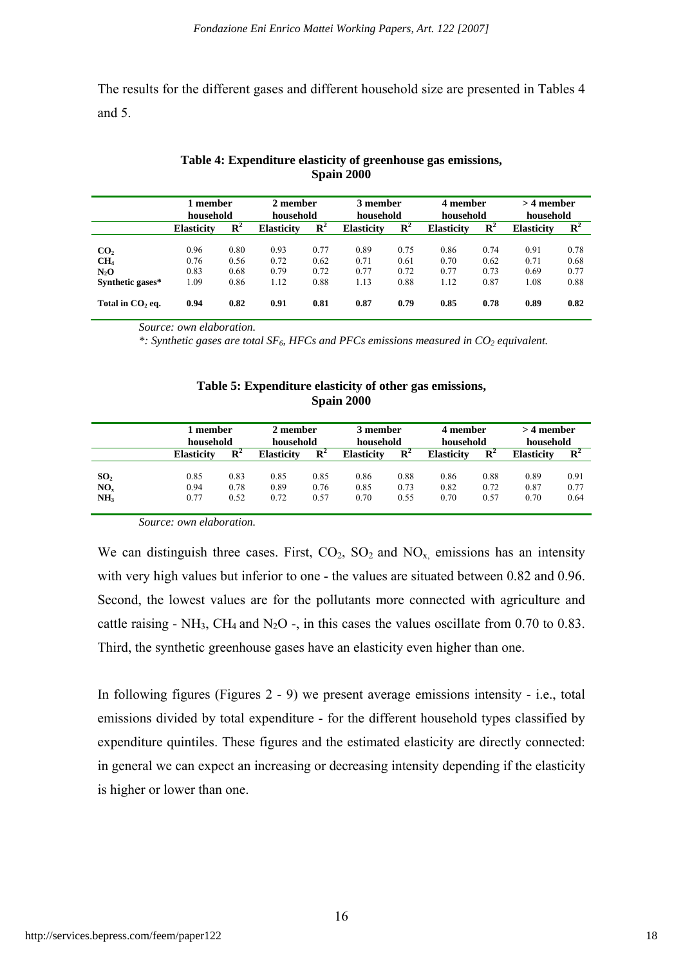The results for the different gases and different household size are presented in Tables 4 and 5.

|                              | l member          |                | 2 member          |                | 3 member          |                | 4 member          |                | $>4$ member       |                |
|------------------------------|-------------------|----------------|-------------------|----------------|-------------------|----------------|-------------------|----------------|-------------------|----------------|
|                              | household         |                | household         |                | household         |                | household         |                | household         |                |
|                              | <b>Elasticity</b> | $\mathbb{R}^2$ | <b>Elasticity</b> | $\mathbb{R}^2$ | <b>Elasticity</b> | $\mathbb{R}^2$ | <b>Elasticity</b> | $\mathbf{R}^2$ | <b>Elasticity</b> | $\mathbf{R}^2$ |
|                              |                   |                |                   |                |                   |                |                   |                |                   |                |
| CO <sub>2</sub>              | 0.96              | 0.80           | 0.93              | 0.77           | 0.89              | 0.75           | 0.86              | 0.74           | 0.91              | 0.78           |
| CH <sub>4</sub>              | 0.76              | 0.56           | 0.72              | 0.62           | 0.71              | 0.61           | 0.70              | 0.62           | 0.71              | 0.68           |
| N <sub>2</sub> O             | 0.83              | 0.68           | 0.79              | 0.72           | 0.77              | 0.72           | 0.77              | 0.73           | 0.69              | 0.77           |
| Synthetic gases*             | .09               | 0.86           | 1.12              | 0.88           | 1.13              | 0.88           | 1.12              | 0.87           | 1.08              | 0.88           |
| Total in CO <sub>2</sub> eq. | 0.94              | 0.82           | 0.91              | 0.81           | 0.87              | 0.79           | 0.85              | 0.78           | 0.89              | 0.82           |

#### **Table 4: Expenditure elasticity of greenhouse gas emissions, Spain 2000**

*Source: own elaboration.* 

*\*: Synthetic gases are total SF6, HFCs and PFCs emissions measured in CO2 equivalent.* 

#### **Table 5: Expenditure elasticity of other gas emissions, Spain 2000**

|                                                       |                      | 1 member<br>household |                      | 2 member<br>household | 3 member<br>household |                      | 4 member<br>household |                      | $>4$ member<br>household |                      |
|-------------------------------------------------------|----------------------|-----------------------|----------------------|-----------------------|-----------------------|----------------------|-----------------------|----------------------|--------------------------|----------------------|
|                                                       | <b>Elasticity</b>    | $\mathbf{R}^2$        | <b>Elasticity</b>    | $\mathbf{R}^2$        | <b>Elasticity</b>     | $\mathbf{R}^2$       | <b>Elasticity</b>     | $\mathbf{R}^2$       | <b>Elasticity</b>        | $\mathbf{R}^2$       |
| SO <sub>2</sub><br>NO <sub>x</sub><br>NH <sub>3</sub> | 0.85<br>0.94<br>0.77 | 0.83<br>0.78<br>0.52  | 0.85<br>0.89<br>0.72 | 0.85<br>0.76<br>0.57  | 0.86<br>0.85<br>0.70  | 0.88<br>0.73<br>0.55 | 0.86<br>0.82<br>0.70  | 0.88<br>0.72<br>0.57 | 0.89<br>0.87<br>0.70     | 0.91<br>0.77<br>0.64 |

*Source: own elaboration.* 

We can distinguish three cases. First,  $CO_2$ ,  $SO_2$  and  $NO_x$ , emissions has an intensity with very high values but inferior to one - the values are situated between 0.82 and 0.96. Second, the lowest values are for the pollutants more connected with agriculture and cattle raising - NH<sub>3</sub>, CH<sub>4</sub> and N<sub>2</sub>O -, in this cases the values oscillate from 0.70 to 0.83. Third, the synthetic greenhouse gases have an elasticity even higher than one.

In following figures (Figures 2 - 9) we present average emissions intensity - i.e., total emissions divided by total expenditure - for the different household types classified by expenditure quintiles. These figures and the estimated elasticity are directly connected: in general we can expect an increasing or decreasing intensity depending if the elasticity is higher or lower than one.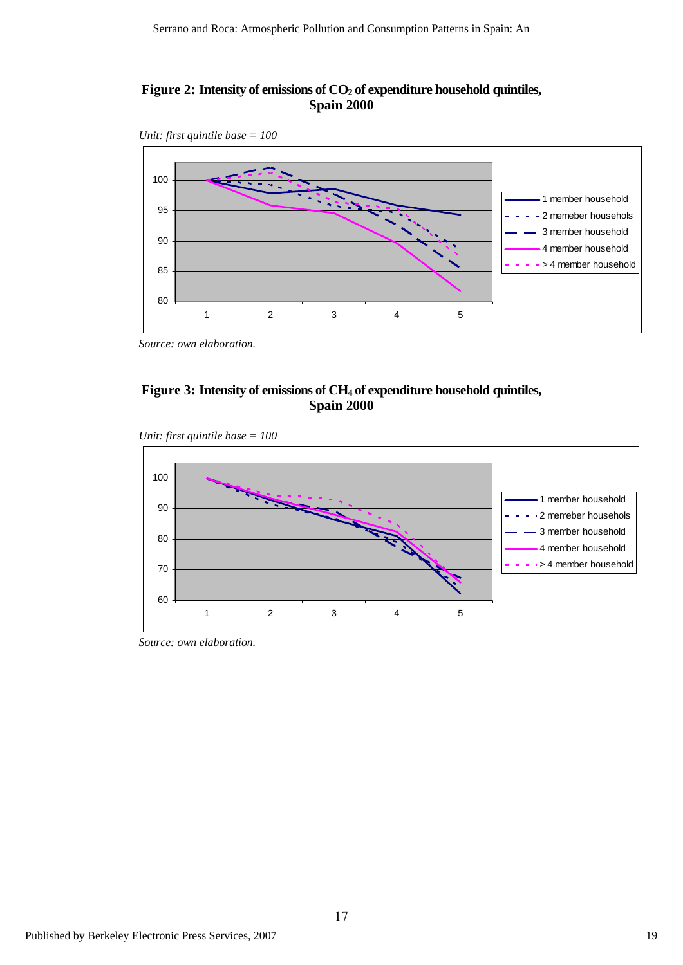## Figure 2: Intensity of emissions of CO<sub>2</sub> of expenditure household quintiles, **Spain 2000**





*Source: own elaboration.* 

## Figure 3: Intensity of emissions of CH<sub>4</sub> of expenditure household quintiles, **Spain 2000**

*Unit: first quintile base = 100* 



*Source: own elaboration.*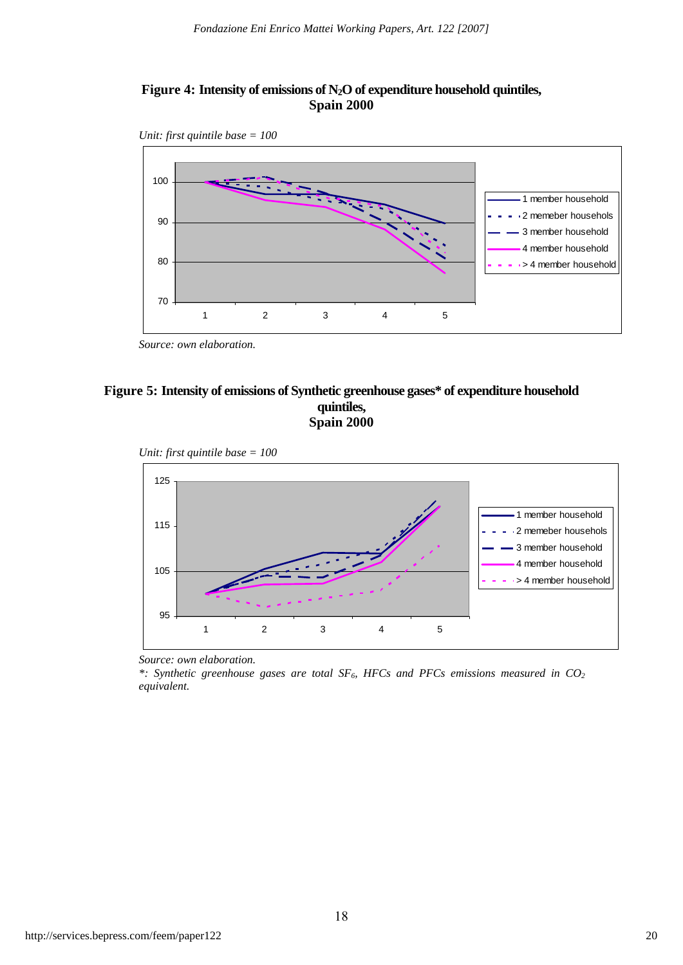### **Figure 4: Intensity of emissions of N2O of expenditure household quintiles, Spain 2000**

*Unit: first quintile base = 100* 



*Source: own elaboration.* 

### **Figure 5: Intensity of emissions of Synthetic greenhouse gases\* of expenditure household quintiles, Spain 2000**

*Unit: first quintile base = 100* 



*Source: own elaboration.* 

*\*: Synthetic greenhouse gases are total SF6, HFCs and PFCs emissions measured in CO2 equivalent.*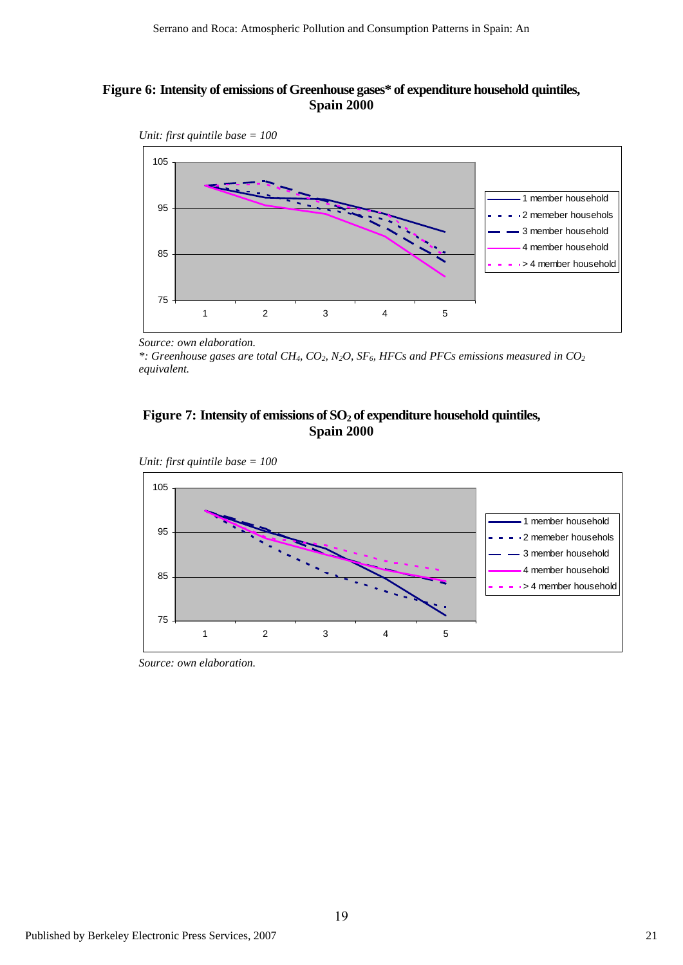### **Figure 6: Intensity of emissions of Greenhouse gases\* of expenditure household quintiles, Spain 2000**





*Source: own elaboration.* 

*\*: Greenhouse gases are total CH4, CO2, N2O, SF6, HFCs and PFCs emissions measured in CO2 equivalent.* 

### Figure 7: Intensity of emissions of SO<sub>2</sub> of expenditure household quintiles, **Spain 2000**

*Unit: first quintile base = 100* 



*Source: own elaboration.*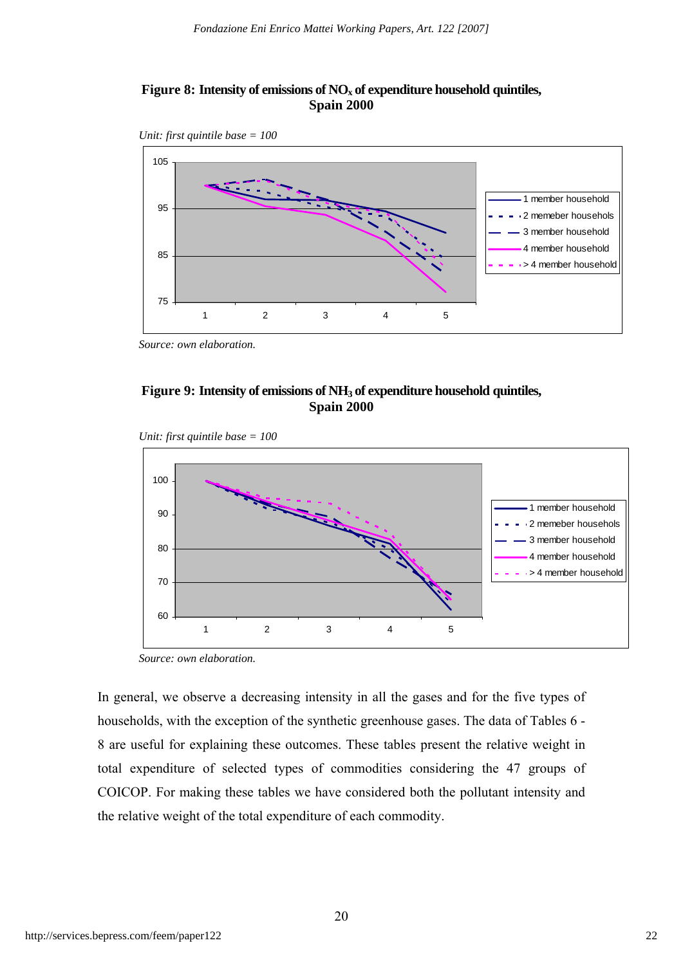## Figure 8: Intensity of emissions of NO<sub>x</sub> of expenditure household quintiles, **Spain 2000**

*Unit: first quintile base = 100* 



*Source: own elaboration.* 

## Figure 9: Intensity of emissions of NH<sub>3</sub> of expenditure household quintiles, **Spain 2000**

```
Unit: first quintile base = 100
```


*Source: own elaboration.* 

In general, we observe a decreasing intensity in all the gases and for the five types of households, with the exception of the synthetic greenhouse gases. The data of Tables 6 - 8 are useful for explaining these outcomes. These tables present the relative weight in total expenditure of selected types of commodities considering the 47 groups of COICOP. For making these tables we have considered both the pollutant intensity and the relative weight of the total expenditure of each commodity.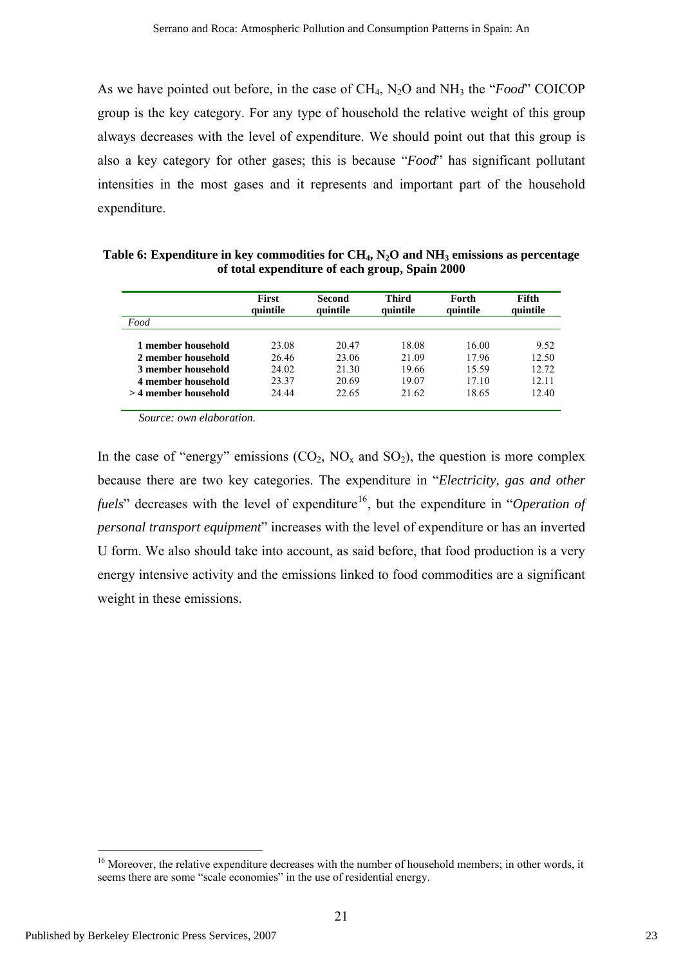<span id="page-23-0"></span>As we have pointed out before, in the case of CH4, N2O and NH3 the "*Food*" COICOP group is the key category. For any type of household the relative weight of this group always decreases with the level of expenditure. We should point out that this group is also a key category for other gases; this is because "*Food*" has significant pollutant intensities in the most gases and it represents and important part of the household expenditure.

| <b>First</b><br>quintile |       | Second<br>quintile | Third<br>quintile | Forth<br>quintile | Fifth<br>quintile |
|--------------------------|-------|--------------------|-------------------|-------------------|-------------------|
| Food                     |       |                    |                   |                   |                   |
| 1 member household       | 23.08 | 20.47              | 18.08             | 16.00             | 9.52              |
| 2 member household       | 26.46 | 23.06              | 21.09             | 17.96             | 12.50             |
| 3 member household       | 24.02 | 21 30              | 19.66             | 15.59             | 12.72             |
| 4 member household       | 23.37 | 20.69              | 19.07             | 17 10             | 12.11             |
| $>4$ member household    | 24 44 | 22.65              | 21.62             | 18.65             | 12.40             |

**Table 6: Expenditure in key commodities for CH4, N2O and NH3 emissions as percentage of total expenditure of each group, Spain 2000** 

*Source: own elaboration.* 

In the case of "energy" emissions  $(CO_2, NO_x \text{ and } SO_2)$ , the question is more complex because there are two key categories. The expenditure in "*Electricity, gas and other fuels*" decreases with the level of expenditure<sup>[16](#page-23-0)</sup>, but the expenditure in "*Operation of personal transport equipment*" increases with the level of expenditure or has an inverted U form. We also should take into account, as said before, that food production is a very energy intensive activity and the emissions linked to food commodities are a significant weight in these emissions.

<sup>&</sup>lt;sup>16</sup> Moreover, the relative expenditure decreases with the number of household members; in other words, it seems there are some "scale economies" in the use of residential energy.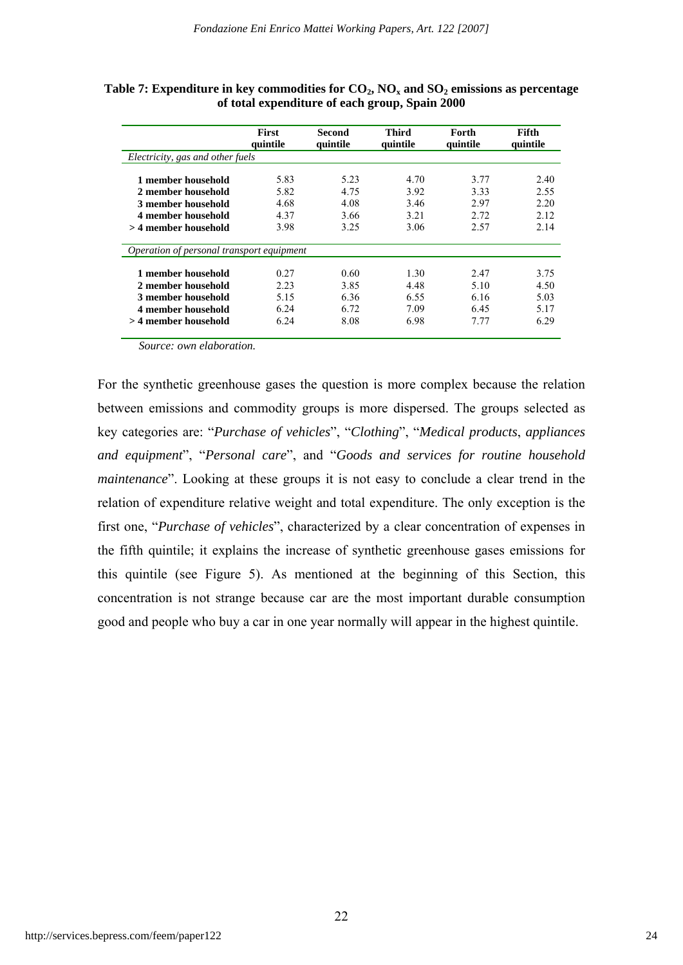|                                           | <b>First</b><br>quintile | Second<br>quintile | <b>Third</b><br>quintile | Forth<br>quintile | Fifth<br>quintile |
|-------------------------------------------|--------------------------|--------------------|--------------------------|-------------------|-------------------|
| Electricity, gas and other fuels          |                          |                    |                          |                   |                   |
| 1 member household                        | 5.83                     | 5.23               | 4.70                     | 3.77              | 2.40              |
| 2 member household                        | 5.82                     | 4.75               | 3.92                     | 3.33              | 2.55              |
| 3 member household                        | 4.68                     | 4.08               | 3.46                     | 2.97              | 2.20              |
| 4 member household                        | 4.37                     | 3.66               | 3.21                     | 2.72              | 2.12              |
| > 4 member household                      | 3.98                     | 3.25               | 3.06                     | 2.57              | 2.14              |
| Operation of personal transport equipment |                          |                    |                          |                   |                   |
| 1 member household                        | 0.27                     | 0.60               | 1.30                     | 2.47              | 3.75              |
| 2 member household                        | 2.23                     | 3.85               | 4.48                     | 5.10              | 4.50              |
| 3 member household                        | 5.15                     | 6.36               | 6.55                     | 6.16              | 5.03              |
| 4 member household                        | 6.24                     | 6.72               | 7.09                     | 6.45              | 5.17              |
| $>$ 4 member household                    | 6.24                     | 8.08               | 6.98                     | 7.77              | 6.29              |

| Table 7: Expenditure in key commodities for $CO_2$ , $NO_x$ and $SO_2$ emissions as percentage |
|------------------------------------------------------------------------------------------------|
| of total expenditure of each group, Spain 2000                                                 |

*Source: own elaboration.* 

For the synthetic greenhouse gases the question is more complex because the relation between emissions and commodity groups is more dispersed. The groups selected as key categories are: "*Purchase of vehicles*", "*Clothing*", "*Medical products*, *appliances and equipment*", "*Personal care*", and "*Goods and services for routine household maintenance*". Looking at these groups it is not easy to conclude a clear trend in the relation of expenditure relative weight and total expenditure. The only exception is the first one, "*Purchase of vehicles*", characterized by a clear concentration of expenses in the fifth quintile; it explains the increase of synthetic greenhouse gases emissions for this quintile (see Figure 5). As mentioned at the beginning of this Section, this concentration is not strange because car are the most important durable consumption good and people who buy a car in one year normally will appear in the highest quintile.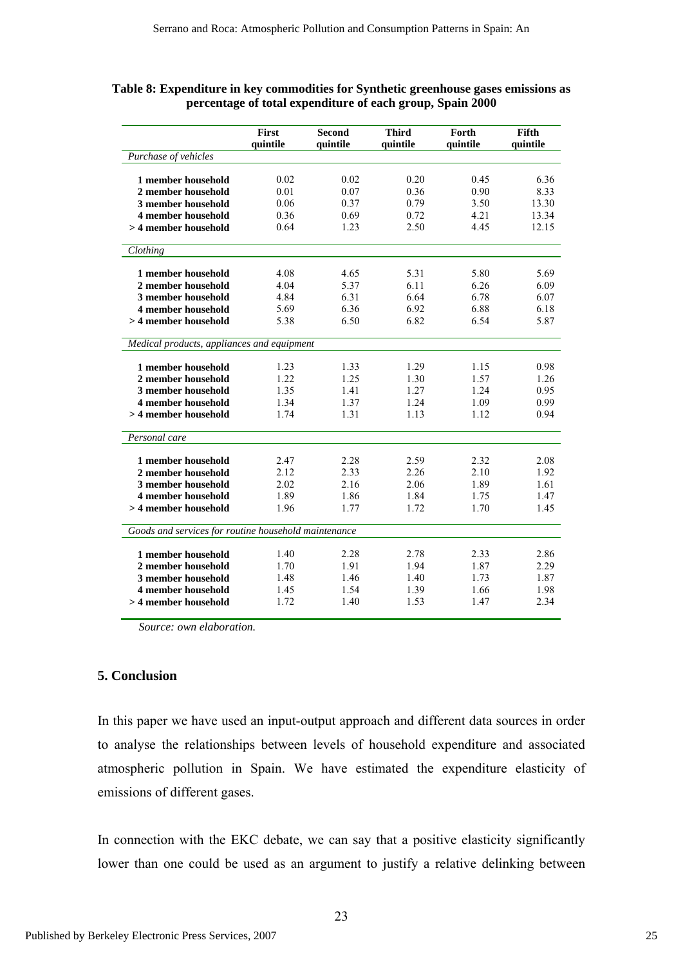|                                                      | First    | <b>Second</b> | <b>Third</b> | Forth    | Fifth    |
|------------------------------------------------------|----------|---------------|--------------|----------|----------|
|                                                      | quintile | quintile      | quintile     | quintile | quintile |
| Purchase of vehicles                                 |          |               |              |          |          |
| 1 member household                                   | 0.02     | 0.02          | 0.20         | 0.45     | 6.36     |
| 2 member household                                   | 0.01     | 0.07          | 0.36         | 0.90     | 8.33     |
| 3 member household                                   | 0.06     | 0.37          | 0.79         | 3.50     | 13.30    |
| 4 member household                                   | 0.36     | 0.69          | 0.72         | 4.21     | 13.34    |
| > 4 member household                                 | 0.64     | 1.23          | 2.50         | 4.45     | 12.15    |
| Clothing                                             |          |               |              |          |          |
| 1 member household                                   | 4.08     | 4.65          | 5.31         | 5.80     | 5.69     |
| 2 member household                                   | 4.04     | 5.37          | 6.11         | 6.26     | 6.09     |
| 3 member household                                   | 4.84     | 6.31          | 6.64         | 6.78     | 6.07     |
| 4 member household                                   | 5.69     | 6.36          | 6.92         | 6.88     | 6.18     |
| > 4 member household                                 | 5.38     | 6.50          | 6.82         | 6.54     | 5.87     |
| Medical products, appliances and equipment           |          |               |              |          |          |
| 1 member household                                   | 1.23     | 1.33          | 1.29         | 1.15     | 0.98     |
| 2 member household                                   | 1.22     | 1.25          | 1.30         | 1.57     | 1.26     |
| 3 member household                                   | 1.35     | 1.41          | 1.27         | 1.24     | 0.95     |
| 4 member household                                   | 1.34     | 1.37          | 1.24         | 1.09     | 0.99     |
| > 4 member household                                 | 1.74     | 1.31          | 1.13         | 1.12     | 0.94     |
| Personal care                                        |          |               |              |          |          |
| 1 member household                                   | 2.47     | 2.28          | 2.59         | 2.32     | 2.08     |
| 2 member household                                   | 2.12     | 2.33          | 2.26         | 2.10     | 1.92     |
| 3 member household                                   | 2.02     | 2.16          | 2.06         | 1.89     | 1.61     |
| 4 member household                                   | 1.89     | 1.86          | 1.84         | 1.75     | 1.47     |
| > 4 member household                                 | 1.96     | 1.77          | 1.72         | 1.70     | 1.45     |
| Goods and services for routine household maintenance |          |               |              |          |          |
| 1 member household                                   | 1.40     | 2.28          | 2.78         | 2.33     | 2.86     |
| 2 member household                                   | 1.70     | 1.91          | 1.94         | 1.87     | 2.29     |
| 3 member household                                   | 1.48     | 1.46          | 1.40         | 1.73     | 1.87     |
| 4 member household                                   | 1.45     | 1.54          | 1.39         | 1.66     | 1.98     |
| > 4 member household                                 | 1.72     | 1.40          | 1.53         | 1.47     | 2.34     |

#### **Table 8: Expenditure in key commodities for Synthetic greenhouse gases emissions as percentage of total expenditure of each group, Spain 2000**

*Source: own elaboration.* 

#### **5. Conclusion**

In this paper we have used an input-output approach and different data sources in order to analyse the relationships between levels of household expenditure and associated atmospheric pollution in Spain. We have estimated the expenditure elasticity of emissions of different gases.

In connection with the EKC debate, we can say that a positive elasticity significantly lower than one could be used as an argument to justify a relative delinking between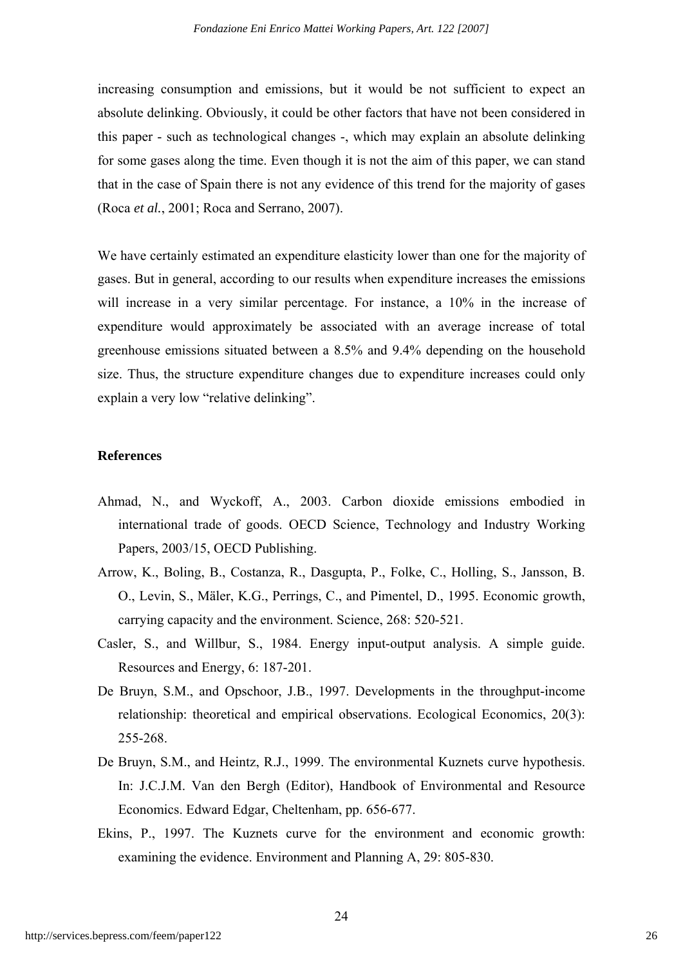increasing consumption and emissions, but it would be not sufficient to expect an absolute delinking. Obviously, it could be other factors that have not been considered in this paper - such as technological changes -, which may explain an absolute delinking for some gases along the time. Even though it is not the aim of this paper, we can stand that in the case of Spain there is not any evidence of this trend for the majority of gases (Roca *et al.*, 2001; Roca and Serrano, 2007).

We have certainly estimated an expenditure elasticity lower than one for the majority of gases. But in general, according to our results when expenditure increases the emissions will increase in a very similar percentage. For instance, a  $10\%$  in the increase of expenditure would approximately be associated with an average increase of total greenhouse emissions situated between a 8.5% and 9.4% depending on the household size. Thus, the structure expenditure changes due to expenditure increases could only explain a very low "relative delinking".

#### **References**

- Ahmad, N., and Wyckoff, A., 2003. Carbon dioxide emissions embodied in international trade of goods. OECD Science, Technology and Industry Working Papers, 2003/15, OECD Publishing.
- Arrow, K., Boling, B., Costanza, R., Dasgupta, P., Folke, C., Holling, S., Jansson, B. O., Levin, S., Mäler, K.G., Perrings, C., and Pimentel, D., 1995. Economic growth, carrying capacity and the environment. Science, 268: 520-521.
- Casler, S., and Willbur, S., 1984. Energy input-output analysis. A simple guide. Resources and Energy, 6: 187-201.
- De Bruyn, S.M., and Opschoor, J.B., 1997. Developments in the throughput-income relationship: theoretical and empirical observations. Ecological Economics, 20(3): 255-268.
- De Bruyn, S.M., and Heintz, R.J., 1999. The environmental Kuznets curve hypothesis. In: J.C.J.M. Van den Bergh (Editor), Handbook of Environmental and Resource Economics. Edward Edgar, Cheltenham, pp. 656-677.
- Ekins, P., 1997. The Kuznets curve for the environment and economic growth: examining the evidence. Environment and Planning A, 29: 805-830.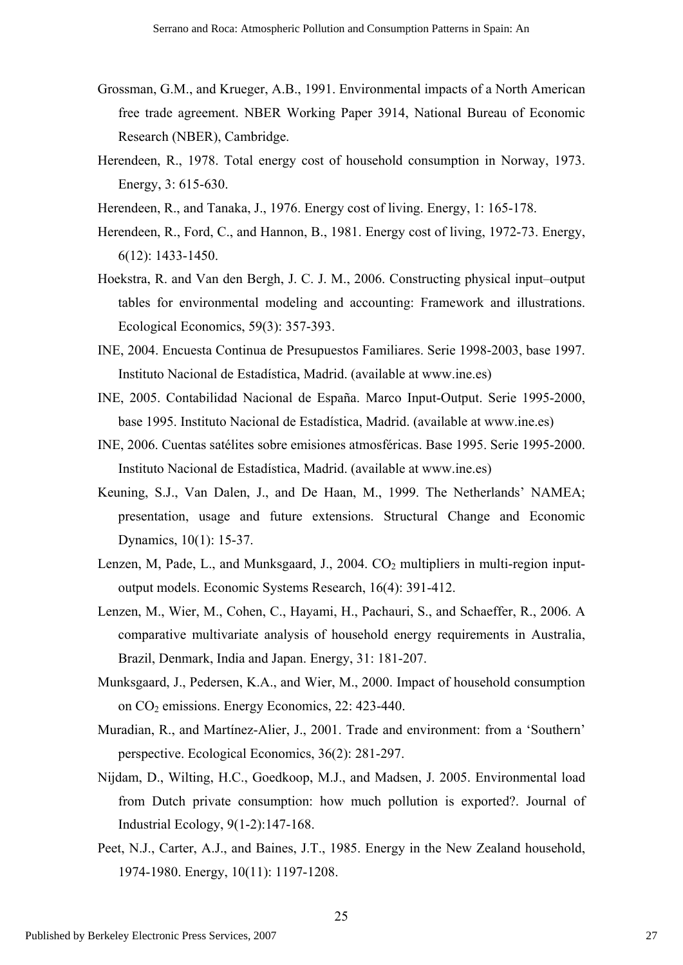- Grossman, G.M., and Krueger, A.B., 1991. Environmental impacts of a North American free trade agreement. NBER Working Paper 3914, National Bureau of Economic Research (NBER), Cambridge.
- Herendeen, R., 1978. Total energy cost of household consumption in Norway, 1973. Energy, 3: 615-630.
- Herendeen, R., and Tanaka, J., 1976. Energy cost of living. Energy, 1: 165-178.
- Herendeen, R., Ford, C., and Hannon, B., 1981. Energy cost of living, 1972-73. Energy, 6(12): 1433-1450.
- Hoekstra, R. and Van den Bergh, J. C. J. M., 2006. Constructing physical input–output tables for environmental modeling and accounting: Framework and illustrations. Ecological Economics, 59(3): 357-393.
- INE, 2004. Encuesta Continua de Presupuestos Familiares. Serie 1998-2003, base 1997. Instituto Nacional de Estadística, Madrid. (available at www.ine.es)
- INE, 2005. Contabilidad Nacional de España. Marco Input-Output. Serie 1995-2000, base 1995. Instituto Nacional de Estadística, Madrid. (available at www.ine.es)
- INE, 2006. Cuentas satélites sobre emisiones atmosféricas. Base 1995. Serie 1995-2000. Instituto Nacional de Estadística, Madrid. (available at www.ine.es)
- Keuning, S.J., Van Dalen, J., and De Haan, M., 1999. The Netherlands' NAMEA; presentation, usage and future extensions. Structural Change and Economic Dynamics, 10(1): 15-37.
- Lenzen, M, Pade, L., and Munksgaard, J., 2004.  $CO<sub>2</sub>$  multipliers in multi-region inputoutput models. Economic Systems Research, 16(4): 391-412.
- Lenzen, M., Wier, M., Cohen, C., Hayami, H., Pachauri, S., and Schaeffer, R., 2006. A comparative multivariate analysis of household energy requirements in Australia, Brazil, Denmark, India and Japan. Energy, 31: 181-207.
- Munksgaard, J., Pedersen, K.A., and Wier, M., 2000. Impact of household consumption on CO2 emissions. Energy Economics, 22: 423-440.
- Muradian, R., and Martínez-Alier, J., 2001. Trade and environment: from a 'Southern' perspective. Ecological Economics, 36(2): 281-297.
- Nijdam, D., Wilting, H.C., Goedkoop, M.J., and Madsen, J. 2005. Environmental load from Dutch private consumption: how much pollution is exported?. Journal of Industrial Ecology, 9(1-2):147-168.
- Peet, N.J., Carter, A.J., and Baines, J.T., 1985. Energy in the New Zealand household, 1974-1980. Energy, 10(11): 1197-1208.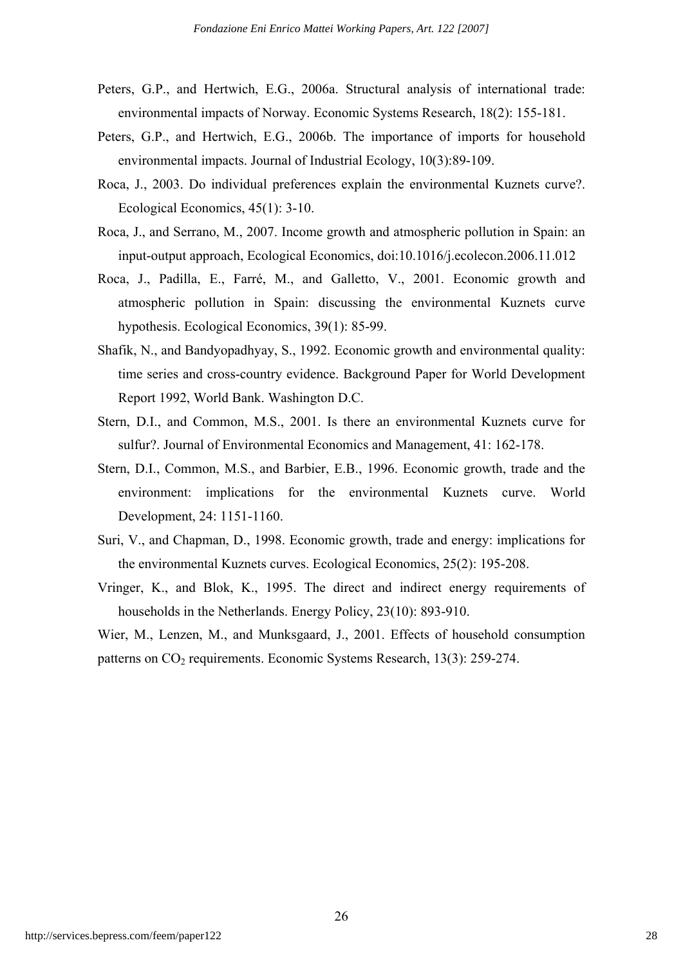- Peters, G.P., and Hertwich, E.G., 2006a. Structural analysis of international trade: environmental impacts of Norway. Economic Systems Research, 18(2): 155-181.
- Peters, G.P., and Hertwich, E.G., 2006b. The importance of imports for household environmental impacts. Journal of Industrial Ecology, 10(3):89-109.
- Roca, J., 2003. Do individual preferences explain the environmental Kuznets curve?. Ecological Economics, 45(1): 3-10.
- Roca, J., and Serrano, M., 2007. Income growth and atmospheric pollution in Spain: an input-output approach, Ecological Economics, doi:10.1016/j.ecolecon.2006.11.012
- Roca, J., Padilla, E., Farré, M., and Galletto, V., 2001. Economic growth and atmospheric pollution in Spain: discussing the environmental Kuznets curve hypothesis. Ecological Economics, 39(1): 85-99.
- Shafik, N., and Bandyopadhyay, S., 1992. Economic growth and environmental quality: time series and cross-country evidence. Background Paper for World Development Report 1992, World Bank. Washington D.C.
- Stern, D.I., and Common, M.S., 2001. Is there an environmental Kuznets curve for sulfur?. Journal of Environmental Economics and Management, 41: 162-178.
- Stern, D.I., Common, M.S., and Barbier, E.B., 1996. Economic growth, trade and the environment: implications for the environmental Kuznets curve. World Development, 24: 1151-1160.
- Suri, V., and Chapman, D., 1998. Economic growth, trade and energy: implications for the environmental Kuznets curves. Ecological Economics, 25(2): 195-208.
- Vringer, K., and Blok, K., 1995. The direct and indirect energy requirements of households in the Netherlands. Energy Policy, 23(10): 893-910.

Wier, M., Lenzen, M., and Munksgaard, J., 2001. Effects of household consumption patterns on  $CO<sub>2</sub>$  requirements. Economic Systems Research, 13(3): 259-274.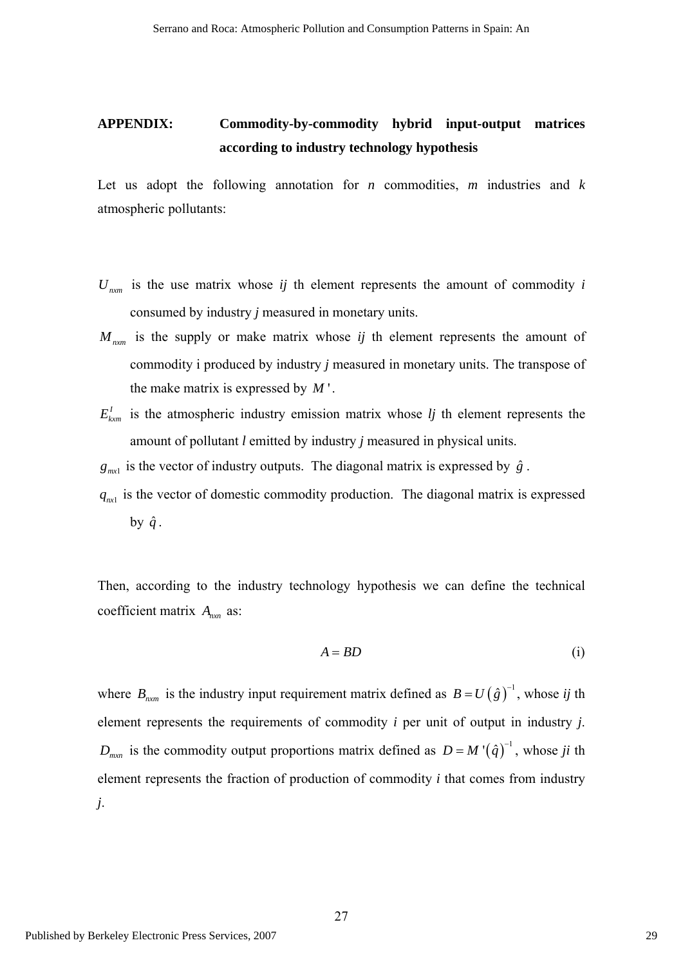## **APPENDIX: Commodity-by-commodity hybrid input-output matrices according to industry technology hypothesis**

Let us adopt the following annotation for *n* commodities, *m* industries and  $k$ atmospheric pollutants:

- $U_{n x n}$  is the use matrix whose *ij* th element represents the amount of commodity *i* consumed by industry *j* measured in monetary units.
- $M_{n x n}$  is the supply or make matrix whose  $i j$  th element represents the amount of commodity i produced by industry *j* measured in monetary units. The transpose of the make matrix is expressed by *M* ' .
- $E_{k x m}$  is the atmospheric industry emission matrix whose  $Ij$  th element represents the amount of pollutant *l* emitted by industry *j* measured in physical units.
- $g_{mx1}$  is the vector of industry outputs. The diagonal matrix is expressed by  $\hat{g}$ .
- $q_{\text{int}}$  is the vector of domestic commodity production. The diagonal matrix is expressed by  $\hat{q}$ .

Then, according to the industry technology hypothesis we can define the technical coefficient matrix  $A_{nm}$  as:

$$
A = BD
$$
 (i)

where  $B_{n x n}$  is the industry input requirement matrix defined as  $B = U(\hat{g})^{-1}$ , whose *ij* th element represents the requirements of commodity *i* per unit of output in industry *j*.  $D_{mxn}$  is the commodity output proportions matrix defined as  $D = M'(\hat{q})^{-1}$ , whose *ji* th element represents the fraction of production of commodity *i* that comes from industry *j*.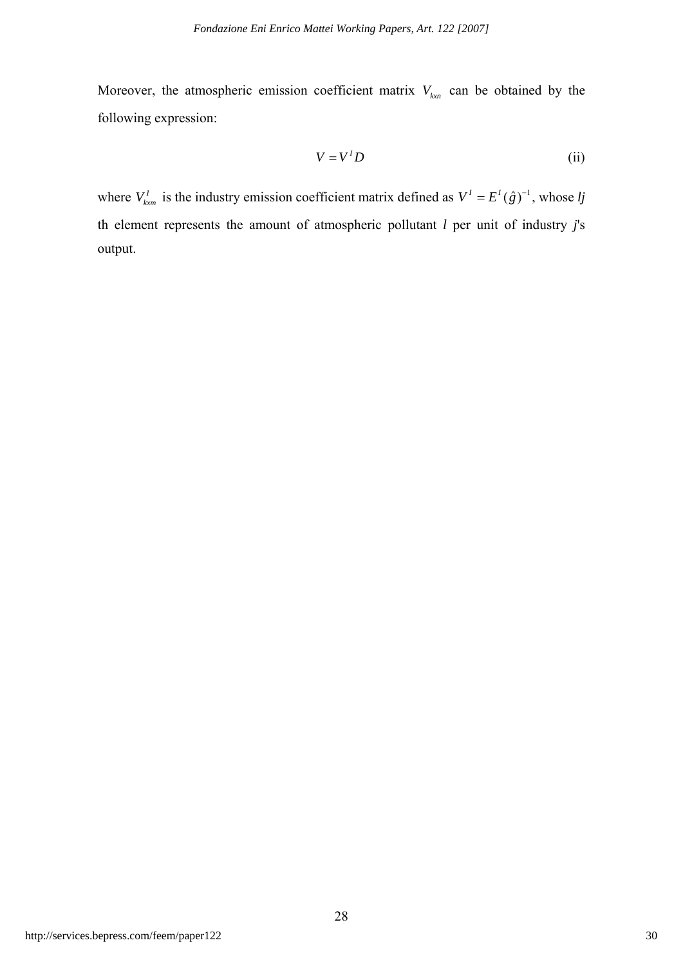Moreover, the atmospheric emission coefficient matrix  $V_{kx}$  can be obtained by the following expression:

$$
V = V^I D \tag{ii}
$$

where  $V_{kcm}^I$  is the industry emission coefficient matrix defined as  $V^I = E^I(\hat{g})^{-1}$ , whose *lj* th element represents the amount of atmospheric pollutant *l* per unit of industry *j*'s output.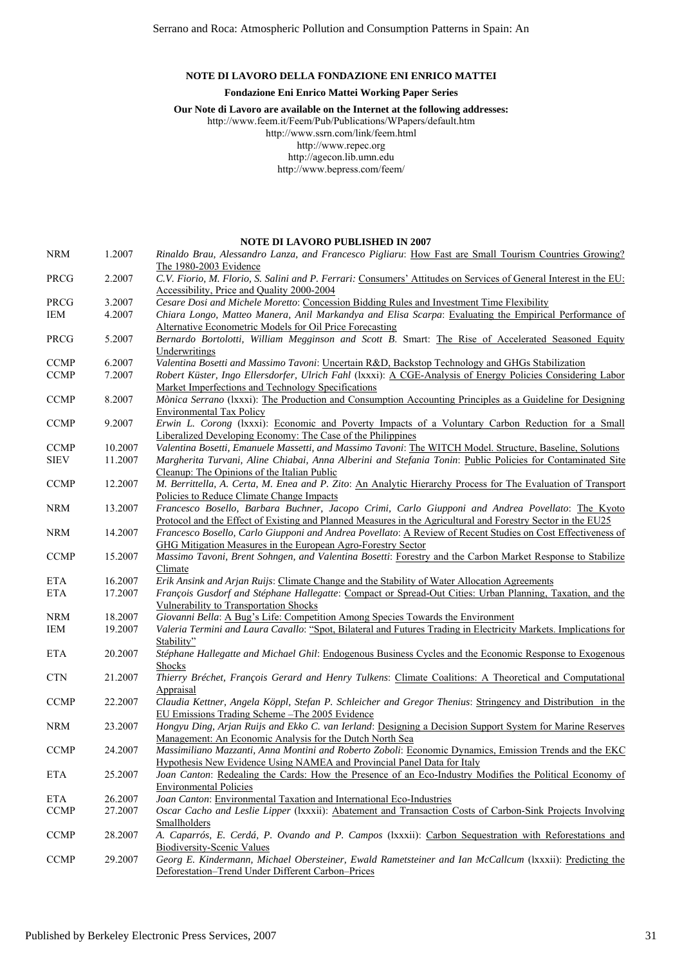#### **NOTE DI LAVORO DELLA FONDAZIONE ENI ENRICO MATTEI**

#### **Fondazione Eni Enrico Mattei Working Paper Series**

**Our Note di Lavoro are available on the Internet at the following addresses:** 

http://www.feem.it/Feem/Pub/Publications/WPapers/default.htm

http://www.ssrn.com/link/feem.html

http://www.repec.org

http://agecon.lib.umn.edu

http://www.bepress.com/feem/

#### **NOTE DI LAVORO PUBLISHED IN 2007**

| <b>NRM</b>  | 1.2007  | Rinaldo Brau, Alessandro Lanza, and Francesco Pigliaru: How Fast are Small Tourism Countries Growing?<br>The 1980-2003 Evidence              |
|-------------|---------|----------------------------------------------------------------------------------------------------------------------------------------------|
| PRCG        | 2.2007  | C.V. Fiorio, M. Florio, S. Salini and P. Ferrari: Consumers' Attitudes on Services of General Interest in the EU:                            |
|             |         | Accessibility, Price and Quality 2000-2004                                                                                                   |
| <b>PRCG</b> | 3.2007  | Cesare Dosi and Michele Moretto: Concession Bidding Rules and Investment Time Flexibility                                                    |
| IEM         | 4.2007  | Chiara Longo, Matteo Manera, Anil Markandya and Elisa Scarpa: Evaluating the Empirical Performance of                                        |
|             |         | <b>Alternative Econometric Models for Oil Price Forecasting</b>                                                                              |
| PRCG        | 5.2007  | Bernardo Bortolotti, William Megginson and Scott B. Smart: The Rise of Accelerated Seasoned Equity                                           |
|             |         | Underwritings                                                                                                                                |
| <b>CCMP</b> | 6.2007  | Valentina Bosetti and Massimo Tavoni: Uncertain R&D, Backstop Technology and GHGs Stabilization                                              |
| <b>CCMP</b> | 7.2007  | Robert Küster, Ingo Ellersdorfer, Ulrich Fahl (Ixxxi): A CGE-Analysis of Energy Policies Considering Labor                                   |
|             |         | Market Imperfections and Technology Specifications                                                                                           |
| <b>CCMP</b> | 8.2007  | Mònica Serrano (Ixxxi): The Production and Consumption Accounting Principles as a Guideline for Designing                                    |
|             |         | <b>Environmental Tax Policy</b>                                                                                                              |
| <b>CCMP</b> | 9.2007  | Erwin L. Corong (Ixxxi): Economic and Poverty Impacts of a Voluntary Carbon Reduction for a Small                                            |
|             |         | Liberalized Developing Economy: The Case of the Philippines                                                                                  |
| <b>CCMP</b> | 10.2007 | Valentina Bosetti, Emanuele Massetti, and Massimo Tavoni: The WITCH Model. Structure, Baseline, Solutions                                    |
| <b>SIEV</b> | 11.2007 | Margherita Turvani, Aline Chiabai, Anna Alberini and Stefania Tonin: Public Policies for Contaminated Site                                   |
|             |         | Cleanup: The Opinions of the Italian Public                                                                                                  |
| <b>CCMP</b> | 12.2007 | M. Berrittella, A. Certa, M. Enea and P. Zito: An Analytic Hierarchy Process for The Evaluation of Transport                                 |
|             |         | Policies to Reduce Climate Change Impacts                                                                                                    |
| <b>NRM</b>  | 13.2007 | Francesco Bosello, Barbara Buchner, Jacopo Crimi, Carlo Giupponi and Andrea Povellato: The Kyoto                                             |
|             |         | Protocol and the Effect of Existing and Planned Measures in the Agricultural and Forestry Sector in the EU25                                 |
| <b>NRM</b>  | 14.2007 | Francesco Bosello, Carlo Giupponi and Andrea Povellato: A Review of Recent Studies on Cost Effectiveness of                                  |
|             |         | GHG Mitigation Measures in the European Agro-Forestry Sector                                                                                 |
| <b>CCMP</b> | 15.2007 | Massimo Tavoni, Brent Sohngen, and Valentina Bosetti: Forestry and the Carbon Market Response to Stabilize                                   |
|             |         | Climate                                                                                                                                      |
| <b>ETA</b>  | 16.2007 | Erik Ansink and Arjan Ruijs: Climate Change and the Stability of Water Allocation Agreements                                                 |
| <b>ETA</b>  | 17.2007 | François Gusdorf and Stéphane Hallegatte: Compact or Spread-Out Cities: Urban Planning, Taxation, and the                                    |
|             |         | Vulnerability to Transportation Shocks                                                                                                       |
| <b>NRM</b>  | 18.2007 | Giovanni Bella: A Bug's Life: Competition Among Species Towards the Environment                                                              |
| IEM         | 19.2007 | Valeria Termini and Laura Cavallo: "Spot, Bilateral and Futures Trading in Electricity Markets. Implications for                             |
|             |         | Stability"                                                                                                                                   |
| <b>ETA</b>  | 20.2007 | Stéphane Hallegatte and Michael Ghil: Endogenous Business Cycles and the Economic Response to Exogenous                                      |
|             |         | Shocks                                                                                                                                       |
| <b>CTN</b>  | 21.2007 | Thierry Bréchet, François Gerard and Henry Tulkens: Climate Coalitions: A Theoretical and Computational                                      |
|             |         | Appraisal                                                                                                                                    |
| <b>CCMP</b> | 22.2007 | Claudia Kettner, Angela Köppl, Stefan P. Schleicher and Gregor Thenius: Stringency and Distribution in the                                   |
|             |         | EU Emissions Trading Scheme – The 2005 Evidence                                                                                              |
| <b>NRM</b>  | 23.2007 | Hongyu Ding, Arjan Ruijs and Ekko C. van Ierland: Designing a Decision Support System for Marine Reserves                                    |
|             |         | Management: An Economic Analysis for the Dutch North Sea                                                                                     |
| <b>CCMP</b> | 24.2007 | Massimiliano Mazzanti, Anna Montini and Roberto Zoboli: Economic Dynamics, Emission Trends and the EKC                                       |
|             |         | Hypothesis New Evidence Using NAMEA and Provincial Panel Data for Italy                                                                      |
| <b>ETA</b>  | 25.2007 | Joan Canton: Redealing the Cards: How the Presence of an Eco-Industry Modifies the Political Economy of                                      |
|             |         | <b>Environmental Policies</b>                                                                                                                |
| <b>ETA</b>  | 26.2007 | Joan Canton: Environmental Taxation and International Eco-Industries                                                                         |
| <b>CCMP</b> | 27.2007 | Oscar Cacho and Leslie Lipper (Ixxxii): Abatement and Transaction Costs of Carbon-Sink Projects Involving                                    |
|             |         | Smallholders                                                                                                                                 |
| <b>CCMP</b> | 28.2007 | A. Caparrós, E. Cerdá, P. Ovando and P. Campos (lxxxii): Carbon Sequestration with Reforestations and                                        |
| <b>CCMP</b> | 29.2007 | <b>Biodiversity-Scenic Values</b><br>Georg E. Kindermann, Michael Obersteiner, Ewald Rametsteiner and Ian McCallcum (lxxxii): Predicting the |
|             |         | Deforestation-Trend Under Different Carbon-Prices                                                                                            |
|             |         |                                                                                                                                              |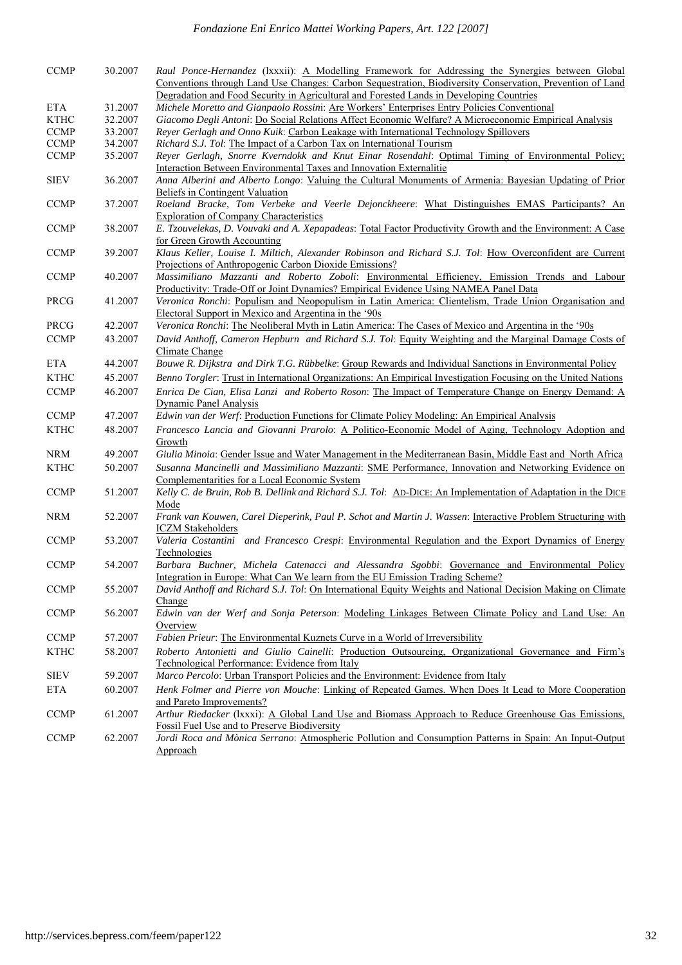| <b>CCMP</b> | 30.2007 | Raul Ponce-Hernandez (Ixxxii): A Modelling Framework for Addressing the Synergies between Global<br>Conventions through Land Use Changes: Carbon Sequestration, Biodiversity Conservation, Prevention of Land<br>Degradation and Food Security in Agricultural and Forested Lands in Developing Countries |
|-------------|---------|-----------------------------------------------------------------------------------------------------------------------------------------------------------------------------------------------------------------------------------------------------------------------------------------------------------|
| <b>ETA</b>  | 31.2007 | Michele Moretto and Gianpaolo Rossini: Are Workers' Enterprises Entry Policies Conventional                                                                                                                                                                                                               |
| <b>KTHC</b> | 32.2007 | Giacomo Degli Antoni: Do Social Relations Affect Economic Welfare? A Microeconomic Empirical Analysis                                                                                                                                                                                                     |
| <b>CCMP</b> | 33.2007 | Reyer Gerlagh and Onno Kuik: Carbon Leakage with International Technology Spillovers                                                                                                                                                                                                                      |
| <b>CCMP</b> | 34.2007 | Richard S.J. Tol: The Impact of a Carbon Tax on International Tourism                                                                                                                                                                                                                                     |
| <b>CCMP</b> | 35.2007 | Reyer Gerlagh, Snorre Kverndokk and Knut Einar Rosendahl: Optimal Timing of Environmental Policy;                                                                                                                                                                                                         |
|             |         | Interaction Between Environmental Taxes and Innovation Externalitie                                                                                                                                                                                                                                       |
| <b>SIEV</b> | 36.2007 | Anna Alberini and Alberto Longo: Valuing the Cultural Monuments of Armenia: Bayesian Updating of Prior<br>Beliefs in Contingent Valuation                                                                                                                                                                 |
| <b>CCMP</b> | 37.2007 | Roeland Bracke, Tom Verbeke and Veerle Dejonckheere: What Distinguishes EMAS Participants? An<br><b>Exploration of Company Characteristics</b>                                                                                                                                                            |
| <b>CCMP</b> | 38.2007 | E. Tzouvelekas, D. Vouvaki and A. Xepapadeas: Total Factor Productivity Growth and the Environment: A Case<br>for Green Growth Accounting                                                                                                                                                                 |
| <b>CCMP</b> | 39.2007 | Klaus Keller, Louise I. Miltich, Alexander Robinson and Richard S.J. Tol: How Overconfident are Current<br>Projections of Anthropogenic Carbon Dioxide Emissions?                                                                                                                                         |
| <b>CCMP</b> | 40.2007 | Massimiliano Mazzanti and Roberto Zoboli: Environmental Efficiency, Emission Trends and Labour                                                                                                                                                                                                            |
| <b>PRCG</b> | 41.2007 | Productivity: Trade-Off or Joint Dynamics? Empirical Evidence Using NAMEA Panel Data<br>Veronica Ronchi: Populism and Neopopulism in Latin America: Clientelism, Trade Union Organisation and                                                                                                             |
| <b>PRCG</b> | 42.2007 | Electoral Support in Mexico and Argentina in the '90s<br>Veronica Ronchi: The Neoliberal Myth in Latin America: The Cases of Mexico and Argentina in the '90s                                                                                                                                             |
| <b>CCMP</b> | 43.2007 | David Anthoff, Cameron Hepburn and Richard S.J. Tol: Equity Weighting and the Marginal Damage Costs of<br>Climate Change                                                                                                                                                                                  |
| <b>ETA</b>  | 44.2007 | Bouwe R. Dijkstra and Dirk T.G. Rübbelke: Group Rewards and Individual Sanctions in Environmental Policy                                                                                                                                                                                                  |
| <b>KTHC</b> | 45.2007 | Benno Torgler: Trust in International Organizations: An Empirical Investigation Focusing on the United Nations                                                                                                                                                                                            |
| <b>CCMP</b> | 46.2007 | Enrica De Cian, Elisa Lanzi and Roberto Roson: The Impact of Temperature Change on Energy Demand: A<br><b>Dynamic Panel Analysis</b>                                                                                                                                                                      |
| <b>CCMP</b> | 47.2007 | Edwin van der Werf: Production Functions for Climate Policy Modeling: An Empirical Analysis                                                                                                                                                                                                               |
|             |         |                                                                                                                                                                                                                                                                                                           |
| <b>KTHC</b> | 48.2007 | Francesco Lancia and Giovanni Prarolo: A Politico-Economic Model of Aging, Technology Adoption and<br>Growth                                                                                                                                                                                              |
| <b>NRM</b>  | 49.2007 | Giulia Minoia: Gender Issue and Water Management in the Mediterranean Basin, Middle East and North Africa                                                                                                                                                                                                 |
| <b>KTHC</b> | 50.2007 | Susanna Mancinelli and Massimiliano Mazzanti: SME Performance, Innovation and Networking Evidence on                                                                                                                                                                                                      |
| <b>CCMP</b> | 51.2007 | Complementarities for a Local Economic System<br>Kelly C. de Bruin, Rob B. Dellink and Richard S.J. Tol: AD-DICE: An Implementation of Adaptation in the DICE                                                                                                                                             |
| <b>NRM</b>  | 52.2007 | Mode<br>Frank van Kouwen, Carel Dieperink, Paul P. Schot and Martin J. Wassen: Interactive Problem Structuring with                                                                                                                                                                                       |
| <b>CCMP</b> | 53.2007 | <b>ICZM Stakeholders</b><br>Valeria Costantini and Francesco Crespi: Environmental Regulation and the Export Dynamics of Energy                                                                                                                                                                           |
| <b>CCMP</b> | 54.2007 | Technologies<br>Barbara Buchner, Michela Catenacci and Alessandra Sgobbi: Governance and Environmental Policy                                                                                                                                                                                             |
| <b>CCMP</b> | 55.2007 | <u>Integration in Europe: What Can We learn from the EU Emission Trading Scheme?</u><br>David Anthoff and Richard S.J. Tol: On International Equity Weights and National Decision Making on Climate                                                                                                       |
| <b>CCMP</b> | 56.2007 | Change<br>Edwin van der Werf and Sonja Peterson: Modeling Linkages Between Climate Policy and Land Use: An                                                                                                                                                                                                |
| <b>CCMP</b> | 57.2007 | Overview<br>Fabien Prieur: The Environmental Kuznets Curve in a World of Irreversibility                                                                                                                                                                                                                  |
| <b>KTHC</b> | 58.2007 | Roberto Antonietti and Giulio Cainelli: Production Outsourcing, Organizational Governance and Firm's                                                                                                                                                                                                      |
|             |         | Technological Performance: Evidence from Italy                                                                                                                                                                                                                                                            |
| <b>SIEV</b> | 59.2007 | Marco Percolo: Urban Transport Policies and the Environment: Evidence from Italy                                                                                                                                                                                                                          |
| <b>ETA</b>  | 60.2007 | Henk Folmer and Pierre von Mouche: Linking of Repeated Games. When Does It Lead to More Cooperation<br>and Pareto Improvements?                                                                                                                                                                           |
| <b>CCMP</b> | 61.2007 | Arthur Riedacker (Ixxxi): A Global Land Use and Biomass Approach to Reduce Greenhouse Gas Emissions,<br>Fossil Fuel Use and to Preserve Biodiversity                                                                                                                                                      |
| <b>CCMP</b> | 62.2007 | Jordi Roca and Mònica Serrano: Atmospheric Pollution and Consumption Patterns in Spain: An Input-Output<br>Approach                                                                                                                                                                                       |